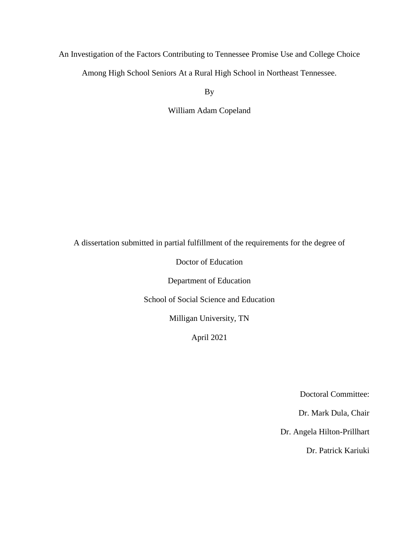# An Investigation of the Factors Contributing to Tennessee Promise Use and College Choice Among High School Seniors At a Rural High School in Northeast Tennessee.

By

William Adam Copeland

A dissertation submitted in partial fulfillment of the requirements for the degree of

Doctor of Education

Department of Education

School of Social Science and Education

Milligan University, TN

April 2021

Doctoral Committee:

Dr. Mark Dula, Chair

Dr. Angela Hilton-Prillhart

Dr. Patrick Kariuki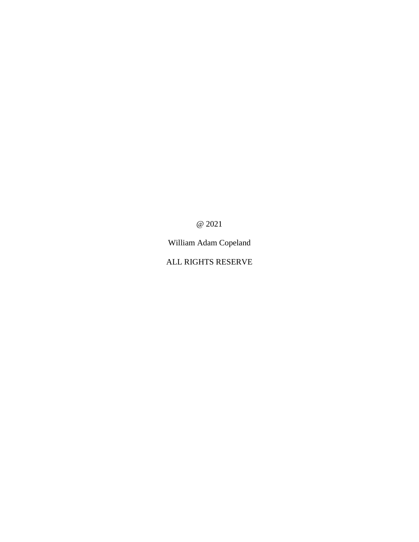@ 2021

William Adam Copeland

ALL RIGHTS RESERVE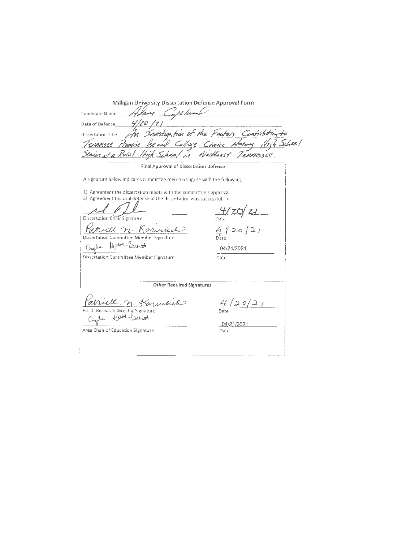| Milligan University Dissertation Defense Approval Form                                                                                                                                                                                                                                                                                                                                       |                           |
|----------------------------------------------------------------------------------------------------------------------------------------------------------------------------------------------------------------------------------------------------------------------------------------------------------------------------------------------------------------------------------------------|---------------------------|
| Candidate Name Holding Copeland                                                                                                                                                                                                                                                                                                                                                              |                           |
| Date of Defense $\frac{4}{20}$ /2)                                                                                                                                                                                                                                                                                                                                                           |                           |
| Dissertation Title Am Investigation of the Factors Contribution                                                                                                                                                                                                                                                                                                                              |                           |
| Ennessee Promise Beauv College Choice Among High School                                                                                                                                                                                                                                                                                                                                      |                           |
| enius at a Rulal High School in Northeast Tennessee.                                                                                                                                                                                                                                                                                                                                         |                           |
| Final Approval of Dissertation Defense                                                                                                                                                                                                                                                                                                                                                       |                           |
| A signature below indicates committee members agree with the following:                                                                                                                                                                                                                                                                                                                      |                           |
| 1) Agreement the dissertation meets with the committee's approval.<br>2) Agreement the oral defense of the dissertation was successful.<br>Dissertation Chair Signature<br>ill n. Karukich<br>Dissertation Committee Member Signature<br>$H\parallel_{\mathcal{V}}$ $\parallel_{\mathcal{V}}$ $\parallel_{\mathcal{V}}$ $\parallel_{\mathcal{V}}$<br>Dissertation Committee Member Signature | 20.<br>04/21/2021<br>Date |
| <b>Other Required Signatures</b>                                                                                                                                                                                                                                                                                                                                                             |                           |
|                                                                                                                                                                                                                                                                                                                                                                                              |                           |
| udech                                                                                                                                                                                                                                                                                                                                                                                        | 20/2/                     |
| Ed. D. Research Director Signature<br>Hilton -                                                                                                                                                                                                                                                                                                                                               | Date                      |
|                                                                                                                                                                                                                                                                                                                                                                                              | 04/21/2021                |
| Area Chair of Education Signature                                                                                                                                                                                                                                                                                                                                                            | Date                      |
|                                                                                                                                                                                                                                                                                                                                                                                              |                           |
|                                                                                                                                                                                                                                                                                                                                                                                              |                           |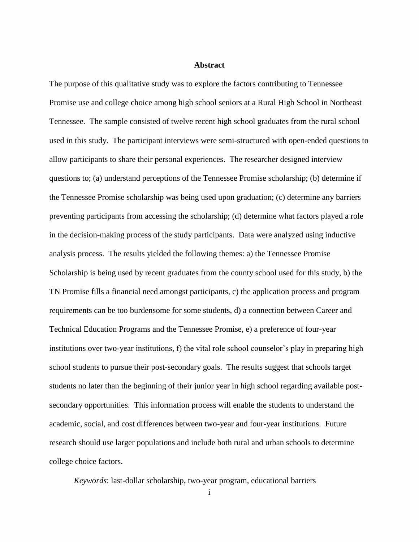#### **Abstract**

<span id="page-3-0"></span>The purpose of this qualitative study was to explore the factors contributing to Tennessee Promise use and college choice among high school seniors at a Rural High School in Northeast Tennessee. The sample consisted of twelve recent high school graduates from the rural school used in this study. The participant interviews were semi-structured with open-ended questions to allow participants to share their personal experiences. The researcher designed interview questions to; (a) understand perceptions of the Tennessee Promise scholarship; (b) determine if the Tennessee Promise scholarship was being used upon graduation; (c) determine any barriers preventing participants from accessing the scholarship; (d) determine what factors played a role in the decision-making process of the study participants. Data were analyzed using inductive analysis process. The results yielded the following themes: a) the Tennessee Promise Scholarship is being used by recent graduates from the county school used for this study, b) the TN Promise fills a financial need amongst participants, c) the application process and program requirements can be too burdensome for some students, d) a connection between Career and Technical Education Programs and the Tennessee Promise, e) a preference of four-year institutions over two-year institutions, f) the vital role school counselor's play in preparing high school students to pursue their post-secondary goals. The results suggest that schools target students no later than the beginning of their junior year in high school regarding available postsecondary opportunities. This information process will enable the students to understand the academic, social, and cost differences between two-year and four-year institutions. Future research should use larger populations and include both rural and urban schools to determine college choice factors.

*Keywords*: last-dollar scholarship, two-year program, educational barriers

i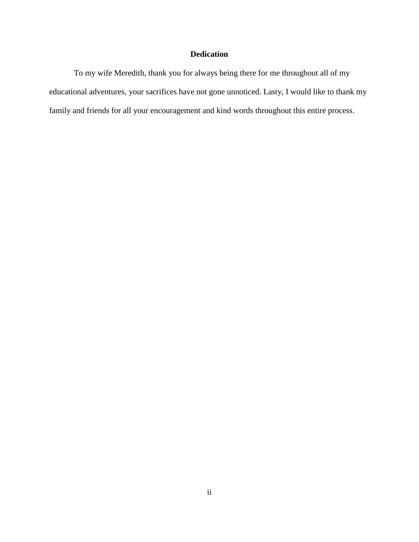## **Dedication**

<span id="page-4-0"></span>To my wife Meredith, thank you for always being there for me throughout all of my educational adventures, your sacrifices have not gone unnoticed. Lasty, I would like to thank my family and friends for all your encouragement and kind words throughout this entire process.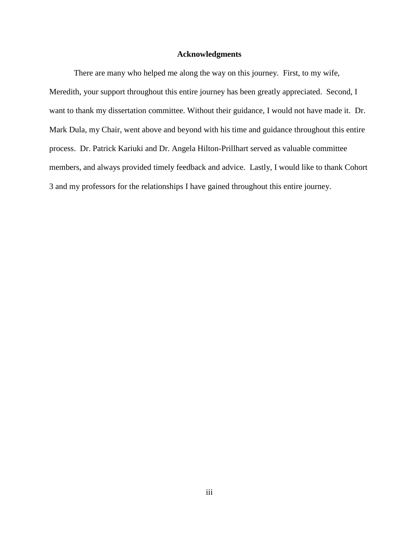## **Acknowledgments**

<span id="page-5-0"></span>There are many who helped me along the way on this journey. First, to my wife, Meredith, your support throughout this entire journey has been greatly appreciated. Second, I want to thank my dissertation committee. Without their guidance, I would not have made it. Dr. Mark Dula, my Chair, went above and beyond with his time and guidance throughout this entire process. Dr. Patrick Kariuki and Dr. Angela Hilton-Prillhart served as valuable committee members, and always provided timely feedback and advice. Lastly, I would like to thank Cohort 3 and my professors for the relationships I have gained throughout this entire journey.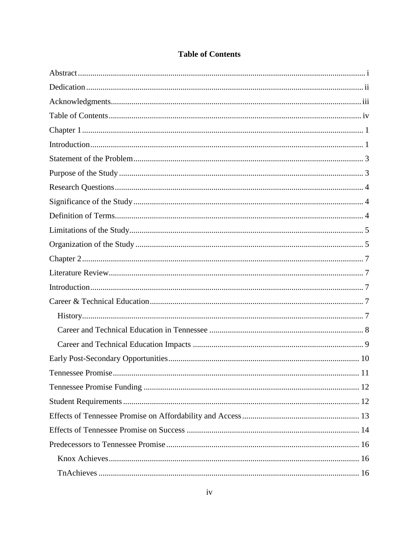<span id="page-6-0"></span>

|  |  | <b>Table of Contents</b> |
|--|--|--------------------------|
|--|--|--------------------------|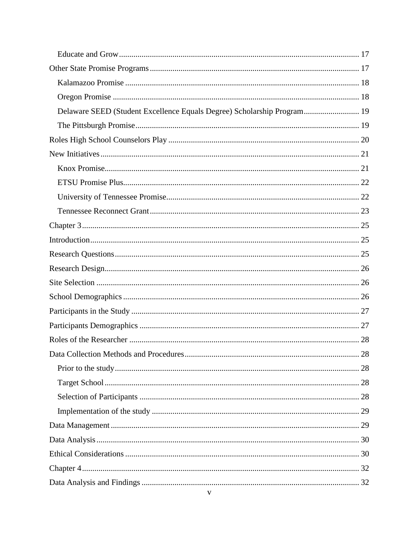| Delaware SEED (Student Excellence Equals Degree) Scholarship Program 19 |  |
|-------------------------------------------------------------------------|--|
|                                                                         |  |
|                                                                         |  |
|                                                                         |  |
|                                                                         |  |
|                                                                         |  |
|                                                                         |  |
|                                                                         |  |
|                                                                         |  |
|                                                                         |  |
|                                                                         |  |
|                                                                         |  |
|                                                                         |  |
|                                                                         |  |
|                                                                         |  |
|                                                                         |  |
|                                                                         |  |
| Data Collection Methods and Procedures<br>28                            |  |
|                                                                         |  |
|                                                                         |  |
|                                                                         |  |
|                                                                         |  |
|                                                                         |  |
|                                                                         |  |
|                                                                         |  |
|                                                                         |  |
|                                                                         |  |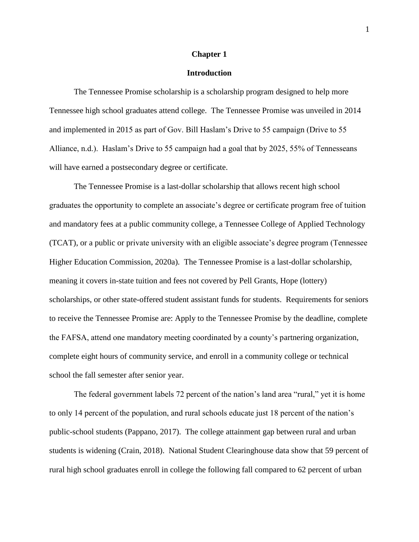#### **Chapter 1**

## **Introduction**

<span id="page-10-1"></span><span id="page-10-0"></span>The Tennessee Promise scholarship is a scholarship program designed to help more Tennessee high school graduates attend college. The Tennessee Promise was unveiled in 2014 and implemented in 2015 as part of Gov. Bill Haslam's Drive to 55 campaign (Drive to 55 Alliance, n.d.). Haslam's Drive to 55 campaign had a goal that by 2025, 55% of Tennesseans will have earned a postsecondary degree or certificate.

The Tennessee Promise is a last-dollar scholarship that allows recent high school graduates the opportunity to complete an associate's degree or certificate program free of tuition and mandatory fees at a public community college, a Tennessee College of Applied Technology (TCAT), or a public or private university with an eligible associate's degree program (Tennessee Higher Education Commission, 2020a). The Tennessee Promise is a last-dollar scholarship, meaning it covers in-state tuition and fees not covered by Pell Grants, Hope (lottery) scholarships, or other state-offered student assistant funds for students. Requirements for seniors to receive the Tennessee Promise are: Apply to the Tennessee Promise by the deadline, complete the FAFSA, attend one mandatory meeting coordinated by a county's partnering organization, complete eight hours of community service, and enroll in a community college or technical school the fall semester after senior year.

The federal government labels 72 percent of the nation's land area "rural," yet it is home to only 14 percent of the population, and rural schools educate just 18 percent of the nation's public-school students (Pappano, 2017). The college attainment gap between rural and urban students is widening (Crain, 2018). National Student Clearinghouse data show that 59 percent of rural high school graduates enroll in college the following fall compared to 62 percent of urban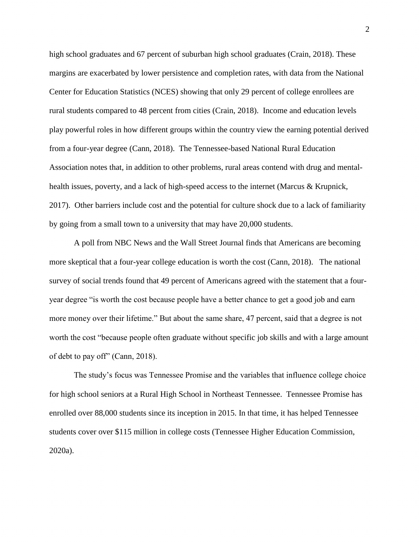high school graduates and 67 percent of suburban high school graduates (Crain, 2018). These margins are exacerbated by lower persistence and completion rates, with data from the National Center for Education Statistics (NCES) showing that only 29 percent of college enrollees are rural students compared to 48 percent from cities (Crain, 2018). Income and education levels play powerful roles in how different groups within the country view the earning potential derived from a four-year degree (Cann, 2018). The Tennessee-based National Rural Education Association notes that, in addition to other problems, rural areas contend with drug and mentalhealth issues, poverty, and a lack of high-speed access to the internet (Marcus & Krupnick, 2017). Other barriers include cost and the potential for culture shock due to a lack of familiarity by going from a small town to a university that may have 20,000 students.

A poll from NBC News and the Wall Street Journal finds that Americans are becoming more skeptical that a four-year college education is worth the cost (Cann, 2018). The national survey of social trends found that 49 percent of Americans agreed with the statement that a fouryear degree "is worth the cost because people have a better chance to get a good job and earn more money over their lifetime." But about the same share, 47 percent, said that a degree is not worth the cost "because people often graduate without specific job skills and with a large amount of debt to pay off" (Cann, 2018).

The study's focus was Tennessee Promise and the variables that influence college choice for high school seniors at a Rural High School in Northeast Tennessee. Tennessee Promise has enrolled over 88,000 students since its inception in 2015. In that time, it has helped Tennessee students cover over \$115 million in college costs (Tennessee Higher Education Commission, 2020a).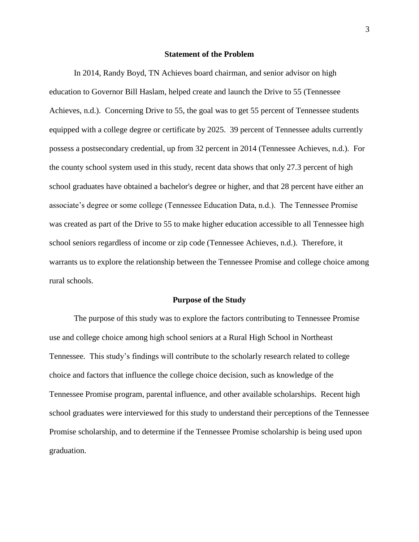#### **Statement of the Problem**

<span id="page-12-0"></span>In 2014, Randy Boyd, TN Achieves board chairman, and senior advisor on high education to Governor Bill Haslam, helped create and launch the Drive to 55 (Tennessee Achieves, n.d.). Concerning Drive to 55, the goal was to get 55 percent of Tennessee students equipped with a college degree or certificate by 2025. 39 percent of Tennessee adults currently possess a postsecondary credential, up from 32 percent in 2014 (Tennessee Achieves, n.d.). For the county school system used in this study, recent data shows that only 27.3 percent of high school graduates have obtained a bachelor's degree or higher, and that 28 percent have either an associate's degree or some college (Tennessee Education Data, n.d.). The Tennessee Promise was created as part of the Drive to 55 to make higher education accessible to all Tennessee high school seniors regardless of income or zip code (Tennessee Achieves, n.d.). Therefore, it warrants us to explore the relationship between the Tennessee Promise and college choice among rural schools.

#### **Purpose of the Study**

<span id="page-12-1"></span>The purpose of this study was to explore the factors contributing to Tennessee Promise use and college choice among high school seniors at a Rural High School in Northeast Tennessee. This study's findings will contribute to the scholarly research related to college choice and factors that influence the college choice decision, such as knowledge of the Tennessee Promise program, parental influence, and other available scholarships. Recent high school graduates were interviewed for this study to understand their perceptions of the Tennessee Promise scholarship, and to determine if the Tennessee Promise scholarship is being used upon graduation.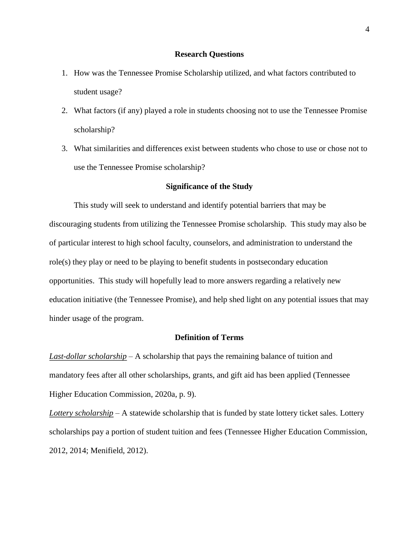## **Research Questions**

- <span id="page-13-0"></span>1. How was the Tennessee Promise Scholarship utilized, and what factors contributed to student usage?
- 2. What factors (if any) played a role in students choosing not to use the Tennessee Promise scholarship?
- 3. What similarities and differences exist between students who chose to use or chose not to use the Tennessee Promise scholarship?

## **Significance of the Study**

<span id="page-13-1"></span>This study will seek to understand and identify potential barriers that may be discouraging students from utilizing the Tennessee Promise scholarship. This study may also be of particular interest to high school faculty, counselors, and administration to understand the role(s) they play or need to be playing to benefit students in postsecondary education opportunities. This study will hopefully lead to more answers regarding a relatively new education initiative (the Tennessee Promise), and help shed light on any potential issues that may hinder usage of the program.

## **Definition of Terms**

<span id="page-13-2"></span>*Last-dollar scholarship* – A scholarship that pays the remaining balance of tuition and mandatory fees after all other scholarships, grants, and gift aid has been applied (Tennessee Higher Education Commission, 2020a, p. 9).

*Lottery scholarship* – A statewide scholarship that is funded by state lottery ticket sales. Lottery scholarships pay a portion of student tuition and fees (Tennessee Higher Education Commission, 2012, 2014; Menifield, 2012).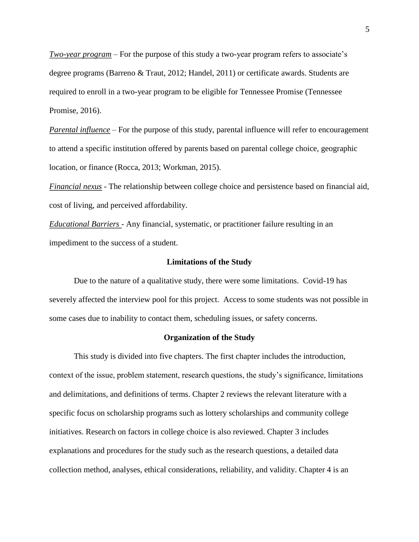*Two-year program* – For the purpose of this study a two-year program refers to associate's degree programs (Barreno & Traut, 2012; Handel, 2011) or certificate awards. Students are required to enroll in a two-year program to be eligible for Tennessee Promise (Tennessee Promise, 2016).

*Parental influence* – For the purpose of this study, parental influence will refer to encouragement to attend a specific institution offered by parents based on parental college choice, geographic location, or finance (Rocca, 2013; Workman, 2015).

*Financial nexus* - The relationship between college choice and persistence based on financial aid, cost of living, and perceived affordability.

*Educational Barriers* - Any financial, systematic, or practitioner failure resulting in an impediment to the success of a student.

## **Limitations of the Study**

<span id="page-14-0"></span>Due to the nature of a qualitative study, there were some limitations. Covid-19 has severely affected the interview pool for this project. Access to some students was not possible in some cases due to inability to contact them, scheduling issues, or safety concerns.

#### **Organization of the Study**

<span id="page-14-1"></span>This study is divided into five chapters. The first chapter includes the introduction, context of the issue, problem statement, research questions, the study's significance, limitations and delimitations, and definitions of terms. Chapter 2 reviews the relevant literature with a specific focus on scholarship programs such as lottery scholarships and community college initiatives. Research on factors in college choice is also reviewed. Chapter 3 includes explanations and procedures for the study such as the research questions, a detailed data collection method, analyses, ethical considerations, reliability, and validity. Chapter 4 is an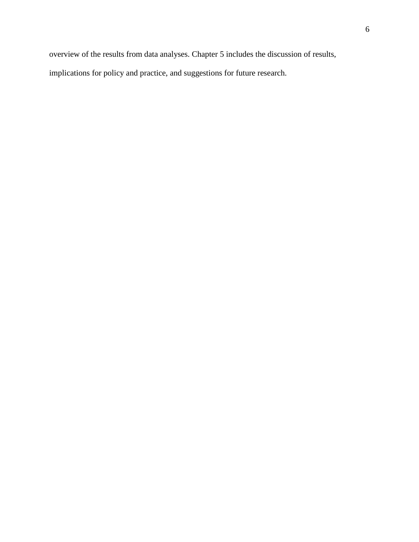overview of the results from data analyses. Chapter 5 includes the discussion of results, implications for policy and practice, and suggestions for future research.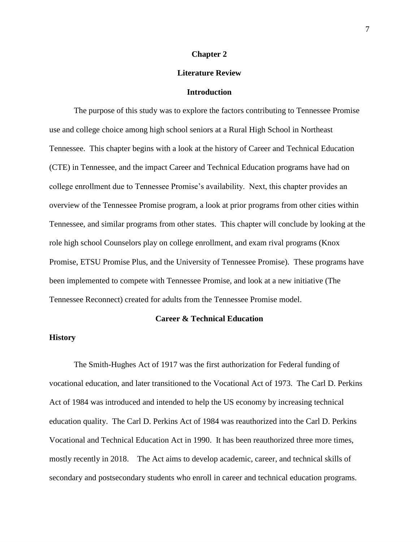#### **Chapter 2**

## **Literature Review**

#### **Introduction**

<span id="page-16-2"></span><span id="page-16-1"></span><span id="page-16-0"></span>The purpose of this study was to explore the factors contributing to Tennessee Promise use and college choice among high school seniors at a Rural High School in Northeast Tennessee. This chapter begins with a look at the history of Career and Technical Education (CTE) in Tennessee, and the impact Career and Technical Education programs have had on college enrollment due to Tennessee Promise's availability. Next, this chapter provides an overview of the Tennessee Promise program, a look at prior programs from other cities within Tennessee, and similar programs from other states. This chapter will conclude by looking at the role high school Counselors play on college enrollment, and exam rival programs (Knox Promise, ETSU Promise Plus, and the University of Tennessee Promise). These programs have been implemented to compete with Tennessee Promise, and look at a new initiative (The Tennessee Reconnect) created for adults from the Tennessee Promise model.

## **Career & Technical Education**

#### <span id="page-16-4"></span><span id="page-16-3"></span>**History**

The Smith-Hughes Act of 1917 was the first authorization for Federal funding of vocational education, and later transitioned to the Vocational Act of 1973. The Carl D. Perkins Act of 1984 was introduced and intended to help the US economy by increasing technical education quality. The Carl D. Perkins Act of 1984 was reauthorized into the Carl D. Perkins Vocational and Technical Education Act in 1990. It has been reauthorized three more times, mostly recently in 2018. The Act aims to develop academic, career, and technical skills of secondary and postsecondary students who enroll in career and technical education programs.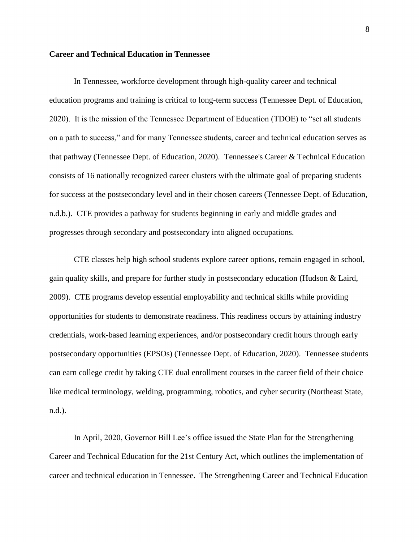## <span id="page-17-0"></span>**Career and Technical Education in Tennessee**

In Tennessee, workforce development through high-quality career and technical education programs and training is critical to long-term success (Tennessee Dept. of Education, 2020). It is the mission of the Tennessee Department of Education (TDOE) to "set all students on a path to success," and for many Tennessee students, career and technical education serves as that pathway (Tennessee Dept. of Education, 2020). Tennessee's Career & Technical Education consists of 16 nationally recognized career clusters with the ultimate goal of preparing students for success at the postsecondary level and in their chosen careers (Tennessee Dept. of Education, n.d.b.). CTE provides a pathway for students beginning in early and middle grades and progresses through secondary and postsecondary into aligned occupations.

CTE classes help high school students explore career options, remain engaged in school, gain quality skills, and prepare for further study in postsecondary education (Hudson & Laird, 2009). CTE programs develop essential employability and technical skills while providing opportunities for students to demonstrate readiness. This readiness occurs by attaining industry credentials, work-based learning experiences, and/or postsecondary credit hours through early postsecondary opportunities (EPSOs) (Tennessee Dept. of Education, 2020). Tennessee students can earn college credit by taking CTE dual enrollment courses in the career field of their choice like medical terminology, welding, programming, robotics, and cyber security (Northeast State, n.d.).

In April, 2020, Governor Bill Lee's office issued the State Plan for the Strengthening Career and Technical Education for the 21st Century Act, which outlines the implementation of career and technical education in Tennessee. The Strengthening Career and Technical Education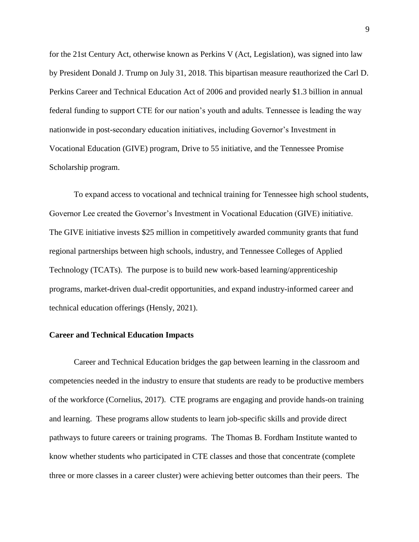for the 21st Century Act, otherwise known as Perkins V (Act, Legislation), was signed into law by President Donald J. Trump on July 31, 2018. This bipartisan measure reauthorized the Carl D. Perkins Career and Technical Education Act of 2006 and provided nearly \$1.3 billion in annual federal funding to support CTE for our nation's youth and adults. Tennessee is leading the way nationwide in post-secondary education initiatives, including Governor's Investment in Vocational Education (GIVE) program, Drive to 55 initiative, and the Tennessee Promise Scholarship program.

To expand access to vocational and technical training for Tennessee high school students, Governor Lee created the Governor's Investment in Vocational Education (GIVE) initiative. The GIVE initiative invests \$25 million in competitively awarded community grants that fund regional partnerships between high schools, industry, and Tennessee Colleges of Applied Technology (TCATs). The purpose is to build new work-based learning/apprenticeship programs, market-driven dual-credit opportunities, and expand industry-informed career and technical education offerings (Hensly, 2021).

#### <span id="page-18-0"></span>**Career and Technical Education Impacts**

Career and Technical Education bridges the gap between learning in the classroom and competencies needed in the industry to ensure that students are ready to be productive members of the workforce (Cornelius, 2017). CTE programs are engaging and provide hands-on training and learning. These programs allow students to learn job-specific skills and provide direct pathways to future careers or training programs. The Thomas B. Fordham Institute wanted to know whether students who participated in CTE classes and those that concentrate (complete three or more classes in a career cluster) were achieving better outcomes than their peers. The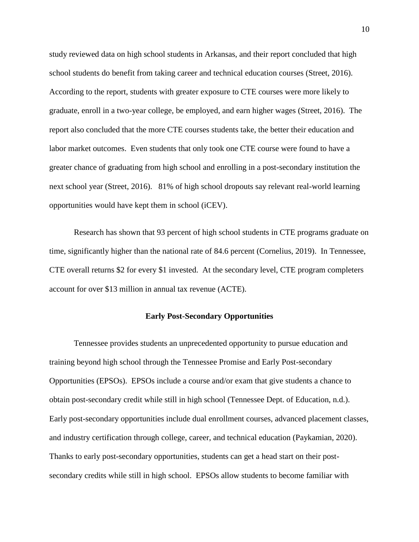study reviewed data on high school students in Arkansas, and their report concluded that high school students do benefit from taking career and technical education courses (Street, 2016). According to the report, students with greater exposure to CTE courses were more likely to graduate, enroll in a two-year college, be employed, and earn higher wages (Street, 2016). The report also concluded that the more CTE courses students take, the better their education and labor market outcomes. Even students that only took one CTE course were found to have a greater chance of graduating from high school and enrolling in a post-secondary institution the next school year (Street, 2016). 81% of high school dropouts say relevant real-world learning opportunities would have kept them in school (iCEV).

Research has shown that 93 percent of high school students in CTE programs graduate on time, significantly higher than the national rate of 84.6 percent (Cornelius, 2019). In Tennessee, CTE overall returns \$2 for every \$1 invested. At the secondary level, CTE program completers account for over \$13 million in annual tax revenue (ACTE).

## **Early Post-Secondary Opportunities**

<span id="page-19-0"></span>Tennessee provides students an unprecedented opportunity to pursue education and training beyond high school through the Tennessee Promise and Early Post-secondary Opportunities (EPSOs). EPSOs include a course and/or exam that give students a chance to obtain post-secondary credit while still in high school (Tennessee Dept. of Education, n.d.). Early post-secondary opportunities include dual enrollment courses, advanced placement classes, and industry certification through college, career, and technical education (Paykamian, 2020). Thanks to early post-secondary opportunities, students can get a head start on their postsecondary credits while still in high school. EPSOs allow students to become familiar with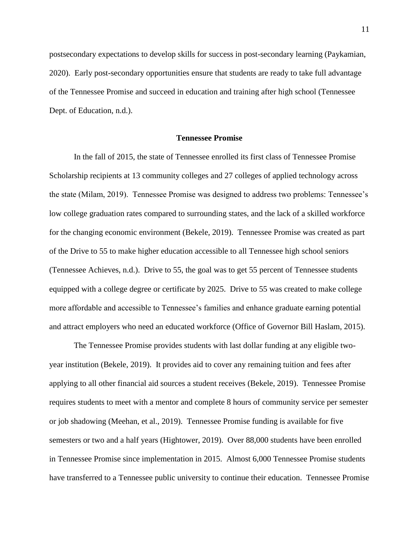postsecondary expectations to develop skills for success in post-secondary learning (Paykamian, 2020). Early post-secondary opportunities ensure that students are ready to take full advantage of the Tennessee Promise and succeed in education and training after high school (Tennessee Dept. of Education, n.d.).

#### **Tennessee Promise**

<span id="page-20-0"></span>In the fall of 2015, the state of Tennessee enrolled its first class of Tennessee Promise Scholarship recipients at 13 community colleges and 27 colleges of applied technology across the state (Milam, 2019). Tennessee Promise was designed to address two problems: Tennessee's low college graduation rates compared to surrounding states, and the lack of a skilled workforce for the changing economic environment (Bekele, 2019). Tennessee Promise was created as part of the Drive to 55 to make higher education accessible to all Tennessee high school seniors (Tennessee Achieves, n.d.). Drive to 55, the goal was to get 55 percent of Tennessee students equipped with a college degree or certificate by 2025. Drive to 55 was created to make college more affordable and accessible to Tennessee's families and enhance graduate earning potential and attract employers who need an educated workforce (Office of Governor Bill Haslam, 2015).

The Tennessee Promise provides students with last dollar funding at any eligible twoyear institution (Bekele, 2019). It provides aid to cover any remaining tuition and fees after applying to all other financial aid sources a student receives (Bekele, 2019). Tennessee Promise requires students to meet with a mentor and complete 8 hours of community service per semester or job shadowing (Meehan, et al., 2019). Tennessee Promise funding is available for five semesters or two and a half years (Hightower, 2019). Over 88,000 students have been enrolled in Tennessee Promise since implementation in 2015. Almost 6,000 Tennessee Promise students have transferred to a Tennessee public university to continue their education. Tennessee Promise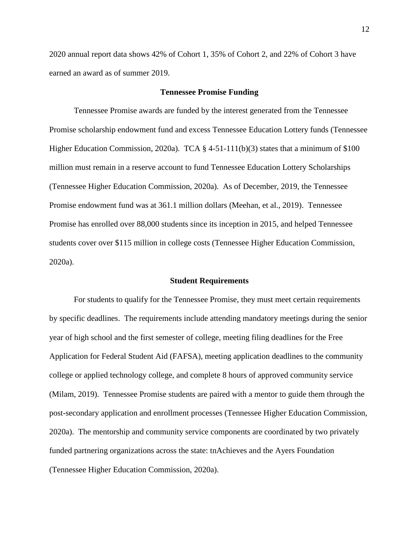2020 annual report data shows 42% of Cohort 1, 35% of Cohort 2, and 22% of Cohort 3 have earned an award as of summer 2019.

#### **Tennessee Promise Funding**

<span id="page-21-0"></span>Tennessee Promise awards are funded by the interest generated from the Tennessee Promise scholarship endowment fund and excess Tennessee Education Lottery funds (Tennessee Higher Education Commission, 2020a). TCA § 4-51-111(b)(3) states that a minimum of \$100 million must remain in a reserve account to fund Tennessee Education Lottery Scholarships (Tennessee Higher Education Commission, 2020a). As of December, 2019, the Tennessee Promise endowment fund was at 361.1 million dollars (Meehan, et al., 2019). Tennessee Promise has enrolled over 88,000 students since its inception in 2015, and helped Tennessee students cover over \$115 million in college costs (Tennessee Higher Education Commission, 2020a).

#### **Student Requirements**

<span id="page-21-1"></span>For students to qualify for the Tennessee Promise, they must meet certain requirements by specific deadlines. The requirements include attending mandatory meetings during the senior year of high school and the first semester of college, meeting filing deadlines for the Free Application for Federal Student Aid (FAFSA), meeting application deadlines to the community college or applied technology college, and complete 8 hours of approved community service (Milam, 2019). Tennessee Promise students are paired with a mentor to guide them through the post-secondary application and enrollment processes (Tennessee Higher Education Commission, 2020a). The mentorship and community service components are coordinated by two privately funded partnering organizations across the state: tnAchieves and the Ayers Foundation (Tennessee Higher Education Commission, 2020a).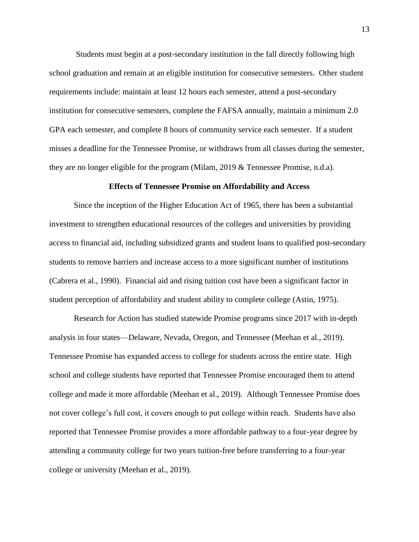Students must begin at a post-secondary institution in the fall directly following high school graduation and remain at an eligible institution for consecutive semesters. Other student requirements include: maintain at least 12 hours each semester, attend a post-secondary institution for consecutive semesters, complete the FAFSA annually, maintain a minimum 2.0 GPA each semester, and complete 8 hours of community service each semester. If a student misses a deadline for the Tennessee Promise, or withdraws from all classes during the semester, they are no longer eligible for the program (Milam, 2019 & Tennessee Promise, n.d.a).

#### **Effects of Tennessee Promise on Affordability and Access**

<span id="page-22-0"></span>Since the inception of the Higher Education Act of 1965, there has been a substantial investment to strengthen educational resources of the colleges and universities by providing access to financial aid, including subsidized grants and student loans to qualified post-secondary students to remove barriers and increase access to a more significant number of institutions (Cabrera et al., 1990). Financial aid and rising tuition cost have been a significant factor in student perception of affordability and student ability to complete college (Astin, 1975).

Research for Action has studied statewide Promise programs since 2017 with in-depth analysis in four states—Delaware, Nevada, Oregon, and Tennessee (Meehan et al., 2019). Tennessee Promise has expanded access to college for students across the entire state. High school and college students have reported that Tennessee Promise encouraged them to attend college and made it more affordable (Meehan et al., 2019). Although Tennessee Promise does not cover college's full cost, it covers enough to put college within reach. Students have also reported that Tennessee Promise provides a more affordable pathway to a four-year degree by attending a community college for two years tuition-free before transferring to a four-year college or university (Meehan et al., 2019).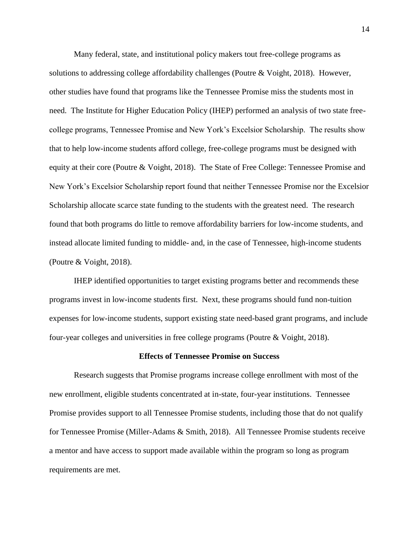Many federal, state, and institutional policy makers tout free-college programs as solutions to addressing college affordability challenges (Poutre & Voight, 2018). However, other studies have found that programs like the Tennessee Promise miss the students most in need. The Institute for Higher Education Policy (IHEP) performed an analysis of two state freecollege programs, Tennessee Promise and New York's Excelsior Scholarship. The results show that to help low-income students afford college, free-college programs must be designed with equity at their core (Poutre & Voight, 2018). The State of Free College: Tennessee Promise and New York's Excelsior Scholarship report found that neither Tennessee Promise nor the Excelsior Scholarship allocate scarce state funding to the students with the greatest need. The research found that both programs do little to remove affordability barriers for low-income students, and instead allocate limited funding to middle- and, in the case of Tennessee, high-income students (Poutre & Voight, 2018).

IHEP identified opportunities to target existing programs better and recommends these programs invest in low-income students first. Next, these programs should fund non-tuition expenses for low-income students, support existing state need-based grant programs, and include four-year colleges and universities in free college programs (Poutre & Voight, 2018).

## **Effects of Tennessee Promise on Success**

<span id="page-23-0"></span>Research suggests that Promise programs increase college enrollment with most of the new enrollment, eligible students concentrated at in-state, four-year institutions. Tennessee Promise provides support to all Tennessee Promise students, including those that do not qualify for Tennessee Promise (Miller-Adams & Smith, 2018). All Tennessee Promise students receive a mentor and have access to support made available within the program so long as program requirements are met.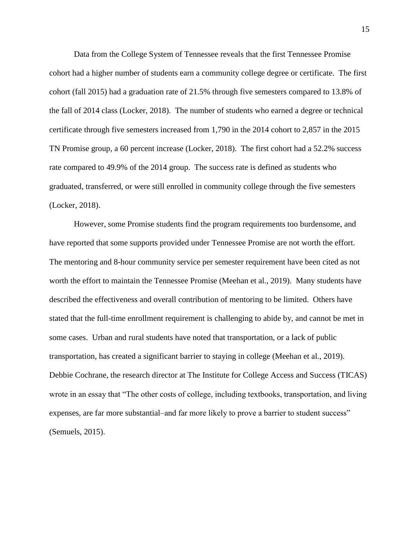Data from the College System of Tennessee reveals that the first Tennessee Promise cohort had a higher number of students earn a community college degree or certificate. The first cohort (fall 2015) had a graduation rate of 21.5% through five semesters compared to 13.8% of the fall of 2014 class (Locker, 2018). The number of students who earned a degree or technical certificate through five semesters increased from 1,790 in the 2014 cohort to 2,857 in the 2015 TN Promise group, a 60 percent increase (Locker, 2018). The first cohort had a 52.2% success rate compared to 49.9% of the 2014 group. The success rate is defined as students who graduated, transferred, or were still enrolled in community college through the five semesters (Locker, 2018).

However, some Promise students find the program requirements too burdensome, and have reported that some supports provided under Tennessee Promise are not worth the effort. The mentoring and 8-hour community service per semester requirement have been cited as not worth the effort to maintain the Tennessee Promise (Meehan et al., 2019). Many students have described the effectiveness and overall contribution of mentoring to be limited. Others have stated that the full-time enrollment requirement is challenging to abide by, and cannot be met in some cases. Urban and rural students have noted that transportation, or a lack of public transportation, has created a significant barrier to staying in college (Meehan et al., 2019). Debbie Cochrane, the research director at The Institute for College Access and Success (TICAS) wrote in an essay that "The other costs of college, including textbooks, transportation, and living expenses, are far more substantial–and far more likely to prove a barrier to student success" (Semuels, 2015).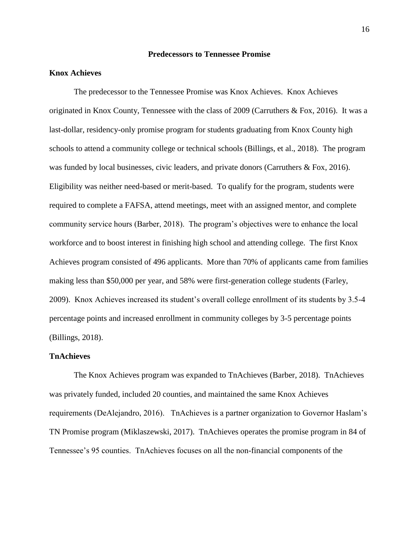## **Predecessors to Tennessee Promise**

## <span id="page-25-1"></span><span id="page-25-0"></span>**Knox Achieves**

The predecessor to the Tennessee Promise was Knox Achieves. Knox Achieves originated in Knox County, Tennessee with the class of 2009 (Carruthers & Fox, 2016). It was a last-dollar, residency-only promise program for students graduating from Knox County high schools to attend a community college or technical schools (Billings, et al., 2018). The program was funded by local businesses, civic leaders, and private donors (Carruthers & Fox, 2016). Eligibility was neither need-based or merit-based. To qualify for the program, students were required to complete a FAFSA, attend meetings, meet with an assigned mentor, and complete community service hours (Barber, 2018). The program's objectives were to enhance the local workforce and to boost interest in finishing high school and attending college. The first Knox Achieves program consisted of 496 applicants. More than 70% of applicants came from families making less than \$50,000 per year, and 58% were first-generation college students (Farley, 2009). Knox Achieves increased its student's overall college enrollment of its students by 3.5-4 percentage points and increased enrollment in community colleges by 3-5 percentage points (Billings, 2018).

## <span id="page-25-2"></span>**TnAchieves**

The Knox Achieves program was expanded to TnAchieves (Barber, 2018). TnAchieves was privately funded, included 20 counties, and maintained the same Knox Achieves requirements (DeAlejandro, 2016). TnAchieves is a partner organization to Governor Haslam's TN Promise program (Miklaszewski, 2017). TnAchieves operates the promise program in 84 of Tennessee's 95 counties. TnAchieves focuses on all the non-financial components of the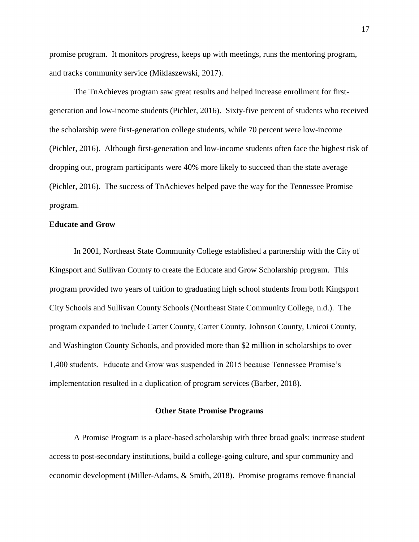promise program. It monitors progress, keeps up with meetings, runs the mentoring program, and tracks community service (Miklaszewski, 2017).

The TnAchieves program saw great results and helped increase enrollment for firstgeneration and low-income students (Pichler, 2016). Sixty-five percent of students who received the scholarship were first-generation college students, while 70 percent were low-income (Pichler, 2016). Although first-generation and low-income students often face the highest risk of dropping out, program participants were 40% more likely to succeed than the state average (Pichler, 2016). The success of TnAchieves helped pave the way for the Tennessee Promise program.

## <span id="page-26-0"></span>**Educate and Grow**

In 2001, Northeast State Community College established a partnership with the City of Kingsport and Sullivan County to create the Educate and Grow Scholarship program. This program provided two years of tuition to graduating high school students from both Kingsport City Schools and Sullivan County Schools (Northeast State Community College, n.d.). The program expanded to include Carter County, Carter County, Johnson County, Unicoi County, and Washington County Schools, and provided more than \$2 million in scholarships to over 1,400 students. Educate and Grow was suspended in 2015 because Tennessee Promise's implementation resulted in a duplication of program services (Barber, 2018).

## **Other State Promise Programs**

<span id="page-26-1"></span>A Promise Program is a place-based scholarship with three broad goals: increase student access to post-secondary institutions, build a college-going culture, and spur community and economic development (Miller-Adams, & Smith, 2018). Promise programs remove financial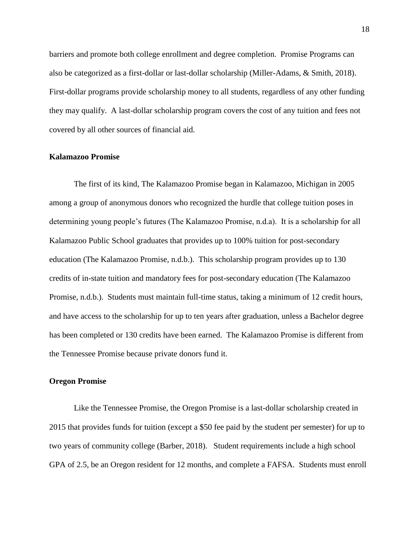barriers and promote both college enrollment and degree completion. Promise Programs can also be categorized as a first-dollar or last-dollar scholarship (Miller-Adams, & Smith, 2018). First-dollar programs provide scholarship money to all students, regardless of any other funding they may qualify. A last-dollar scholarship program covers the cost of any tuition and fees not covered by all other sources of financial aid.

#### <span id="page-27-0"></span>**Kalamazoo Promise**

The first of its kind, The Kalamazoo Promise began in Kalamazoo, Michigan in 2005 among a group of anonymous donors who recognized the hurdle that college tuition poses in determining young people's futures (The Kalamazoo Promise, n.d.a). It is a scholarship for all Kalamazoo Public School graduates that provides up to 100% tuition for post-secondary education (The Kalamazoo Promise, n.d.b.). This scholarship program provides up to 130 credits of in-state tuition and mandatory fees for post-secondary education (The Kalamazoo Promise, n.d.b.). Students must maintain full-time status, taking a minimum of 12 credit hours, and have access to the scholarship for up to ten years after graduation, unless a Bachelor degree has been completed or 130 credits have been earned. The Kalamazoo Promise is different from the Tennessee Promise because private donors fund it.

## <span id="page-27-1"></span>**Oregon Promise**

Like the Tennessee Promise, the Oregon Promise is a last-dollar scholarship created in 2015 that provides funds for tuition (except a \$50 fee paid by the student per semester) for up to two years of community college (Barber, 2018). Student requirements include a high school GPA of 2.5, be an Oregon resident for 12 months, and complete a FAFSA. Students must enroll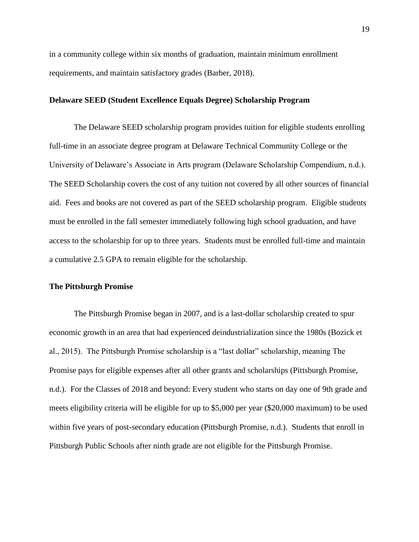in a community college within six months of graduation, maintain minimum enrollment requirements, and maintain satisfactory grades (Barber, 2018).

## <span id="page-28-0"></span>**Delaware SEED (Student Excellence Equals Degree) Scholarship Program**

The Delaware SEED scholarship program provides tuition for eligible students enrolling full-time in an associate degree program at Delaware Technical Community College or the University of Delaware's Associate in Arts program (Delaware Scholarship Compendium, n.d.). The SEED Scholarship covers the cost of any tuition not covered by all other sources of financial aid. Fees and books are not covered as part of the SEED scholarship program. Eligible students must be enrolled in the fall semester immediately following high school graduation, and have access to the scholarship for up to three years. Students must be enrolled full-time and maintain a cumulative 2.5 GPA to remain eligible for the scholarship.

## <span id="page-28-1"></span>**The Pittsburgh Promise**

The Pittsburgh Promise began in 2007, and is a last-dollar scholarship created to spur economic growth in an area that had experienced deindustrialization since the 1980s (Bozick et al., 2015). The Pittsburgh Promise scholarship is a "last dollar" scholarship, meaning The Promise pays for eligible expenses after all other grants and scholarships (Pittsburgh Promise, n.d.). For the Classes of 2018 and beyond: Every student who starts on day one of 9th grade and meets eligibility criteria will be eligible for up to \$5,000 per year (\$20,000 maximum) to be used within five years of post-secondary education (Pittsburgh Promise, n.d.). Students that enroll in Pittsburgh Public Schools after ninth grade are not eligible for the Pittsburgh Promise.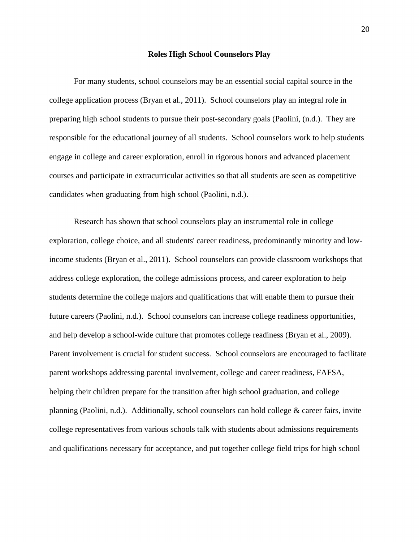#### **Roles High School Counselors Play**

<span id="page-29-0"></span>For many students, school counselors may be an essential social capital source in the college application process (Bryan et al., 2011). School counselors play an integral role in preparing high school students to pursue their post-secondary goals (Paolini, (n.d.). They are responsible for the educational journey of all students. School counselors work to help students engage in college and career exploration, enroll in rigorous honors and advanced placement courses and participate in extracurricular activities so that all students are seen as competitive candidates when graduating from high school (Paolini, n.d.).

Research has shown that school counselors play an instrumental role in college exploration, college choice, and all students' career readiness, predominantly minority and lowincome students (Bryan et al., 2011). School counselors can provide classroom workshops that address college exploration, the college admissions process, and career exploration to help students determine the college majors and qualifications that will enable them to pursue their future careers (Paolini, n.d.). School counselors can increase college readiness opportunities, and help develop a school-wide culture that promotes college readiness (Bryan et al., 2009). Parent involvement is crucial for student success. School counselors are encouraged to facilitate parent workshops addressing parental involvement, college and career readiness, FAFSA, helping their children prepare for the transition after high school graduation, and college planning (Paolini, n.d.). Additionally, school counselors can hold college & career fairs, invite college representatives from various schools talk with students about admissions requirements and qualifications necessary for acceptance, and put together college field trips for high school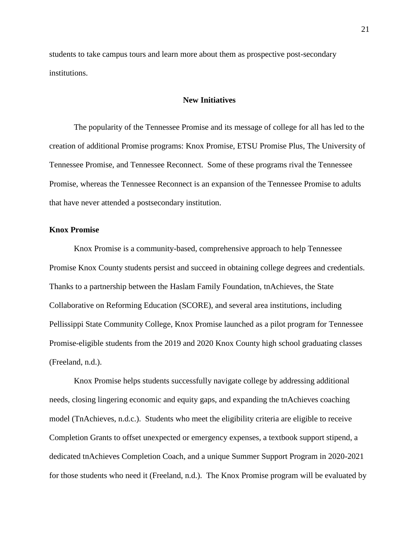students to take campus tours and learn more about them as prospective post-secondary institutions.

#### **New Initiatives**

<span id="page-30-0"></span>The popularity of the Tennessee Promise and its message of college for all has led to the creation of additional Promise programs: Knox Promise, ETSU Promise Plus, The University of Tennessee Promise, and Tennessee Reconnect. Some of these programs rival the Tennessee Promise, whereas the Tennessee Reconnect is an expansion of the Tennessee Promise to adults that have never attended a postsecondary institution.

## <span id="page-30-1"></span>**Knox Promise**

Knox Promise is a community-based, comprehensive approach to help Tennessee Promise Knox County students persist and succeed in obtaining college degrees and credentials. Thanks to a partnership between the Haslam Family Foundation, tnAchieves, the State Collaborative on Reforming Education (SCORE), and several area institutions, including Pellissippi State Community College, Knox Promise launched as a pilot program for Tennessee Promise-eligible students from the 2019 and 2020 Knox County high school graduating classes (Freeland, n.d.).

Knox Promise helps students successfully navigate college by addressing additional needs, closing lingering economic and equity gaps, and expanding the tnAchieves coaching model (TnAchieves, n.d.c.). Students who meet the eligibility criteria are eligible to receive Completion Grants to offset unexpected or emergency expenses, a textbook support stipend, a dedicated tnAchieves Completion Coach, and a unique Summer Support Program in 2020-2021 for those students who need it (Freeland, n.d.). The Knox Promise program will be evaluated by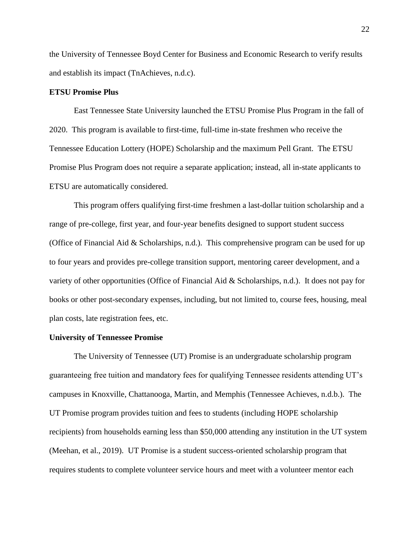the University of Tennessee Boyd Center for Business and Economic Research to verify results and establish its impact (TnAchieves, n.d.c).

## <span id="page-31-0"></span>**ETSU Promise Plus**

East Tennessee State University launched the ETSU Promise Plus Program in the fall of 2020. This program is available to first-time, full-time in-state freshmen who receive the Tennessee Education Lottery (HOPE) Scholarship and the maximum Pell Grant. The ETSU Promise Plus Program does not require a separate application; instead, all in-state applicants to ETSU are automatically considered.

This program offers qualifying first-time freshmen a last-dollar tuition scholarship and a range of pre-college, first year, and four-year benefits designed to support student success (Office of Financial Aid & Scholarships, n.d.). This comprehensive program can be used for up to four years and provides pre-college transition support, mentoring career development, and a variety of other opportunities (Office of Financial Aid & Scholarships, n.d.). It does not pay for books or other post-secondary expenses, including, but not limited to, course fees, housing, meal plan costs, late registration fees, etc.

## <span id="page-31-1"></span>**University of Tennessee Promise**

The University of Tennessee (UT) Promise is an undergraduate scholarship program guaranteeing free tuition and mandatory fees for qualifying Tennessee residents attending UT's campuses in Knoxville, Chattanooga, Martin, and Memphis (Tennessee Achieves, n.d.b.). The UT Promise program provides tuition and fees to students (including HOPE scholarship recipients) from households earning less than \$50,000 attending any institution in the UT system (Meehan, et al., 2019). UT Promise is a student success-oriented scholarship program that requires students to complete volunteer service hours and meet with a volunteer mentor each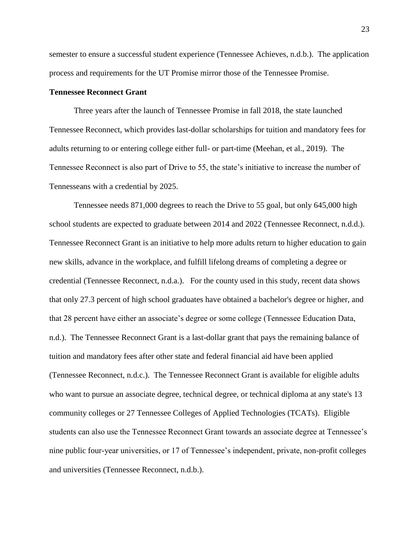semester to ensure a successful student experience (Tennessee Achieves, n.d.b.). The application process and requirements for the UT Promise mirror those of the Tennessee Promise.

## <span id="page-32-0"></span>**Tennessee Reconnect Grant**

Three years after the launch of Tennessee Promise in fall 2018, the state launched Tennessee Reconnect, which provides last-dollar scholarships for tuition and mandatory fees for adults returning to or entering college either full- or part-time (Meehan, et al., 2019). The Tennessee Reconnect is also part of Drive to 55, the state's initiative to increase the number of Tennesseans with a credential by 2025.

Tennessee needs 871,000 degrees to reach the Drive to 55 goal, but only 645,000 high school students are expected to graduate between 2014 and 2022 (Tennessee Reconnect, n.d.d.). Tennessee Reconnect Grant is an initiative to help more adults return to higher education to gain new skills, advance in the workplace, and fulfill lifelong dreams of completing a degree or credential (Tennessee Reconnect, n.d.a.). For the county used in this study, recent data shows that only 27.3 percent of high school graduates have obtained a bachelor's degree or higher, and that 28 percent have either an associate's degree or some college (Tennessee Education Data, n.d.). The Tennessee Reconnect Grant is a last-dollar grant that pays the remaining balance of tuition and mandatory fees after other state and federal financial aid have been applied (Tennessee Reconnect, n.d.c.). The Tennessee Reconnect Grant is available for eligible adults who want to pursue an associate degree, technical degree, or technical diploma at any state's 13 community colleges or 27 Tennessee Colleges of Applied Technologies (TCATs). Eligible students can also use the Tennessee Reconnect Grant towards an associate degree at Tennessee's nine public four-year universities, or 17 of Tennessee's independent, private, non-profit colleges and universities (Tennessee Reconnect, n.d.b.).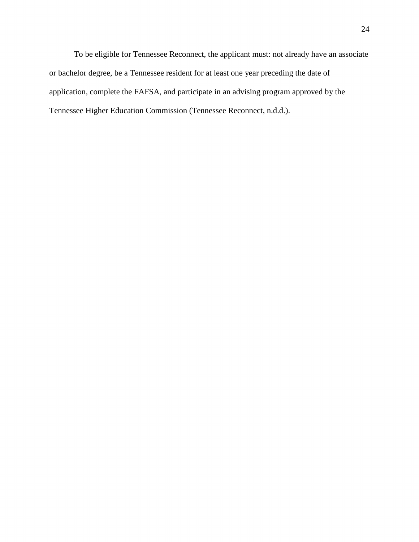To be eligible for Tennessee Reconnect, the applicant must: not already have an associate or bachelor degree, be a Tennessee resident for at least one year preceding the date of application, complete the FAFSA, and participate in an advising program approved by the Tennessee Higher Education Commission (Tennessee Reconnect, n.d.d.).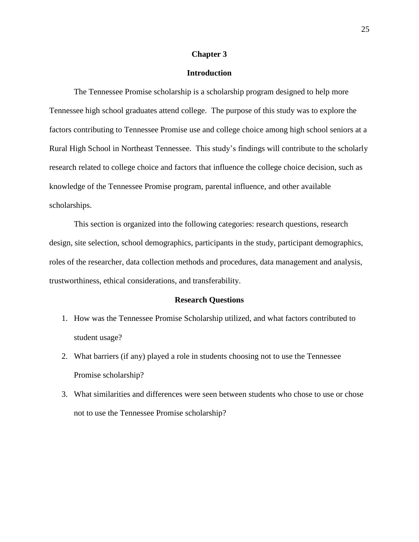#### **Chapter 3**

## **Introduction**

<span id="page-34-1"></span><span id="page-34-0"></span>The Tennessee Promise scholarship is a scholarship program designed to help more Tennessee high school graduates attend college. The purpose of this study was to explore the factors contributing to Tennessee Promise use and college choice among high school seniors at a Rural High School in Northeast Tennessee. This study's findings will contribute to the scholarly research related to college choice and factors that influence the college choice decision, such as knowledge of the Tennessee Promise program, parental influence, and other available scholarships.

This section is organized into the following categories: research questions, research design, site selection, school demographics, participants in the study, participant demographics, roles of the researcher, data collection methods and procedures, data management and analysis, trustworthiness, ethical considerations, and transferability.

#### **Research Questions**

- <span id="page-34-2"></span>1. How was the Tennessee Promise Scholarship utilized, and what factors contributed to student usage?
- 2. What barriers (if any) played a role in students choosing not to use the Tennessee Promise scholarship?
- 3. What similarities and differences were seen between students who chose to use or chose not to use the Tennessee Promise scholarship?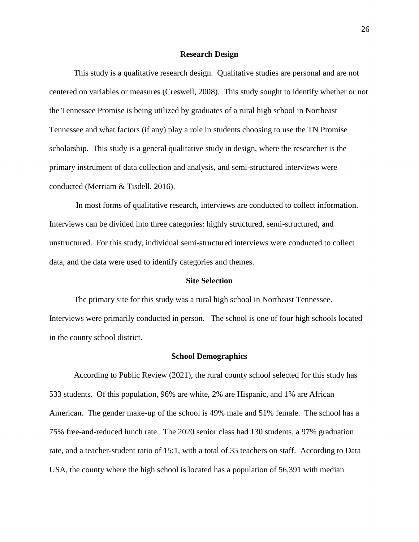#### **Research Design**

<span id="page-35-0"></span>This study is a qualitative research design. Qualitative studies are personal and are not centered on variables or measures (Creswell, 2008). This study sought to identify whether or not the Tennessee Promise is being utilized by graduates of a rural high school in Northeast Tennessee and what factors (if any) play a role in students choosing to use the TN Promise scholarship. This study is a general qualitative study in design, where the researcher is the primary instrument of data collection and analysis, and semi-structured interviews were conducted (Merriam & Tisdell, 2016).

In most forms of qualitative research, interviews are conducted to collect information. Interviews can be divided into three categories: highly structured, semi-structured, and unstructured. For this study, individual semi-structured interviews were conducted to collect data, and the data were used to identify categories and themes.

#### **Site Selection**

<span id="page-35-1"></span>The primary site for this study was a rural high school in Northeast Tennessee. Interviews were primarily conducted in person. The school is one of four high schools located in the county school district.

#### **School Demographics**

<span id="page-35-2"></span>According to Public Review (2021), the rural county school selected for this study has 533 students. Of this population, 96% are white, 2% are Hispanic, and 1% are African American. The gender make-up of the school is 49% male and 51% female. The school has a 75% free-and-reduced lunch rate. The 2020 senior class had 130 students, a 97% graduation rate, and a teacher-student ratio of 15:1, with a total of 35 teachers on staff. According to Data USA, the county where the high school is located has a population of 56,391 with median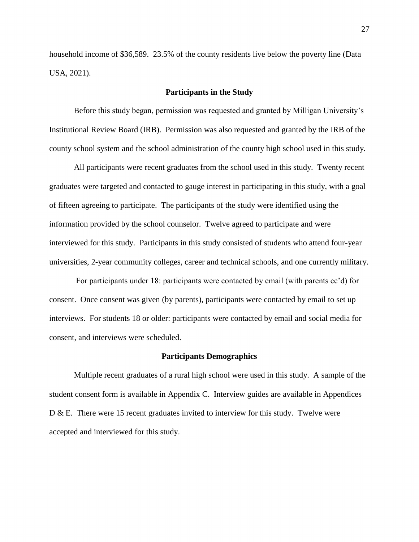household income of \$36,589. 23.5% of the county residents live below the poverty line (Data USA, 2021).

## **Participants in the Study**

Before this study began, permission was requested and granted by Milligan University's Institutional Review Board (IRB). Permission was also requested and granted by the IRB of the county school system and the school administration of the county high school used in this study.

All participants were recent graduates from the school used in this study. Twenty recent graduates were targeted and contacted to gauge interest in participating in this study, with a goal of fifteen agreeing to participate. The participants of the study were identified using the information provided by the school counselor. Twelve agreed to participate and were interviewed for this study. Participants in this study consisted of students who attend four-year universities, 2-year community colleges, career and technical schools, and one currently military.

For participants under 18: participants were contacted by email (with parents cc'd) for consent. Once consent was given (by parents), participants were contacted by email to set up interviews. For students 18 or older: participants were contacted by email and social media for consent, and interviews were scheduled.

### **Participants Demographics**

Multiple recent graduates of a rural high school were used in this study. A sample of the student consent form is available in Appendix C. Interview guides are available in Appendices D & E. There were 15 recent graduates invited to interview for this study. Twelve were accepted and interviewed for this study.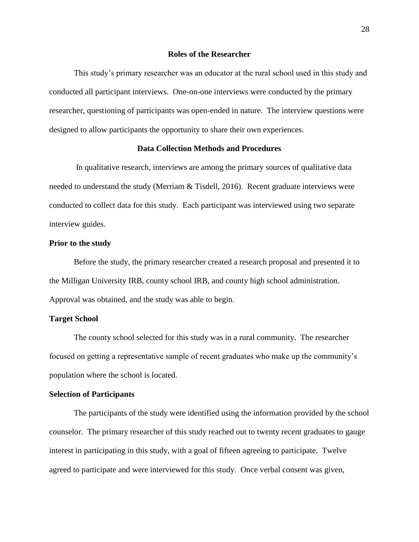### **Roles of the Researcher**

This study's primary researcher was an educator at the rural school used in this study and conducted all participant interviews. One-on-one interviews were conducted by the primary researcher, questioning of participants was open-ended in nature. The interview questions were designed to allow participants the opportunity to share their own experiences.

## **Data Collection Methods and Procedures**

In qualitative research, interviews are among the primary sources of qualitative data needed to understand the study (Merriam  $\&$  Tisdell, 2016). Recent graduate interviews were conducted to collect data for this study. Each participant was interviewed using two separate interview guides.

#### **Prior to the study**

Before the study, the primary researcher created a research proposal and presented it to the Milligan University IRB, county school IRB, and county high school administration. Approval was obtained, and the study was able to begin.

## **Target School**

The county school selected for this study was in a rural community. The researcher focused on getting a representative sample of recent graduates who make up the community's population where the school is located.

#### **Selection of Participants**

The participants of the study were identified using the information provided by the school counselor. The primary researcher of this study reached out to twenty recent graduates to gauge interest in participating in this study, with a goal of fifteen agreeing to participate. Twelve agreed to participate and were interviewed for this study. Once verbal consent was given,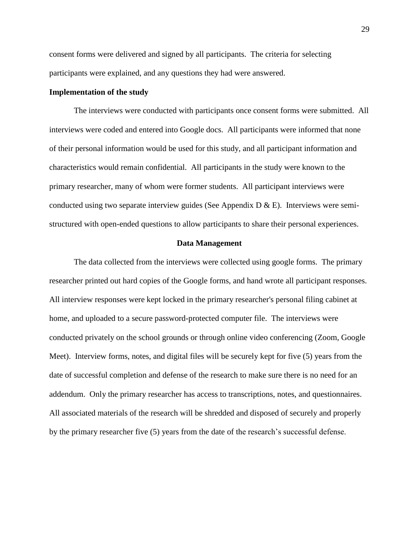consent forms were delivered and signed by all participants. The criteria for selecting participants were explained, and any questions they had were answered.

## **Implementation of the study**

The interviews were conducted with participants once consent forms were submitted. All interviews were coded and entered into Google docs. All participants were informed that none of their personal information would be used for this study, and all participant information and characteristics would remain confidential. All participants in the study were known to the primary researcher, many of whom were former students. All participant interviews were conducted using two separate interview guides (See Appendix  $D \& E$ ). Interviews were semistructured with open-ended questions to allow participants to share their personal experiences.

### **Data Management**

The data collected from the interviews were collected using google forms. The primary researcher printed out hard copies of the Google forms, and hand wrote all participant responses. All interview responses were kept locked in the primary researcher's personal filing cabinet at home, and uploaded to a secure password-protected computer file. The interviews were conducted privately on the school grounds or through online video conferencing (Zoom, Google Meet). Interview forms, notes, and digital files will be securely kept for five (5) years from the date of successful completion and defense of the research to make sure there is no need for an addendum. Only the primary researcher has access to transcriptions, notes, and questionnaires. All associated materials of the research will be shredded and disposed of securely and properly by the primary researcher five (5) years from the date of the research's successful defense.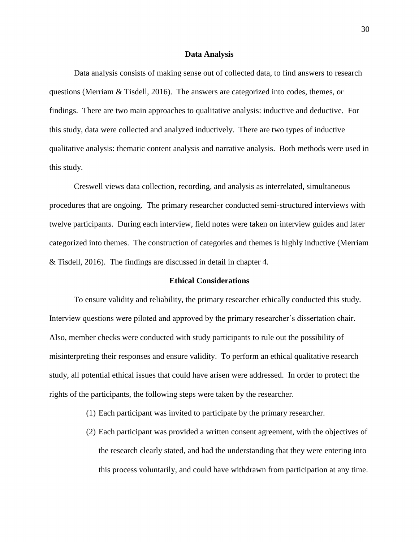#### **Data Analysis**

Data analysis consists of making sense out of collected data, to find answers to research questions (Merriam & Tisdell, 2016). The answers are categorized into codes, themes, or findings. There are two main approaches to qualitative analysis: inductive and deductive. For this study, data were collected and analyzed inductively. There are two types of inductive qualitative analysis: thematic content analysis and narrative analysis. Both methods were used in this study.

Creswell views data collection, recording, and analysis as interrelated, simultaneous procedures that are ongoing. The primary researcher conducted semi-structured interviews with twelve participants. During each interview, field notes were taken on interview guides and later categorized into themes. The construction of categories and themes is highly inductive (Merriam & Tisdell, 2016). The findings are discussed in detail in chapter 4.

#### **Ethical Considerations**

To ensure validity and reliability, the primary researcher ethically conducted this study. Interview questions were piloted and approved by the primary researcher's dissertation chair. Also, member checks were conducted with study participants to rule out the possibility of misinterpreting their responses and ensure validity. To perform an ethical qualitative research study, all potential ethical issues that could have arisen were addressed. In order to protect the rights of the participants, the following steps were taken by the researcher.

- (1) Each participant was invited to participate by the primary researcher.
- (2) Each participant was provided a written consent agreement, with the objectives of the research clearly stated, and had the understanding that they were entering into this process voluntarily, and could have withdrawn from participation at any time.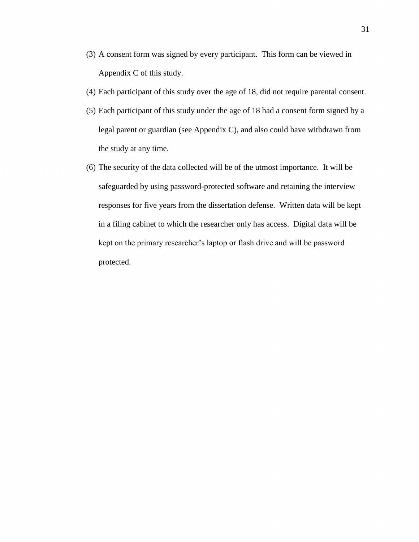- (3) A consent form was signed by every participant. This form can be viewed in Appendix C of this study.
- (4) Each participant of this study over the age of 18, did not require parental consent.
- (5) Each participant of this study under the age of 18 had a consent form signed by a legal parent or guardian (see Appendix C), and also could have withdrawn from the study at any time.
- (6) The security of the data collected will be of the utmost importance. It will be safeguarded by using password-protected software and retaining the interview responses for five years from the dissertation defense. Written data will be kept in a filing cabinet to which the researcher only has access. Digital data will be kept on the primary researcher's laptop or flash drive and will be password protected.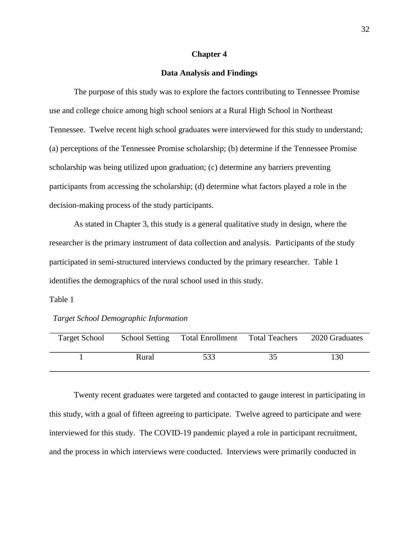### **Chapter 4**

## **Data Analysis and Findings**

The purpose of this study was to explore the factors contributing to Tennessee Promise use and college choice among high school seniors at a Rural High School in Northeast Tennessee. Twelve recent high school graduates were interviewed for this study to understand; (a) perceptions of the Tennessee Promise scholarship; (b) determine if the Tennessee Promise scholarship was being utilized upon graduation; (c) determine any barriers preventing participants from accessing the scholarship; (d) determine what factors played a role in the decision-making process of the study participants.

As stated in Chapter 3, this study is a general qualitative study in design, where the researcher is the primary instrument of data collection and analysis. Participants of the study participated in semi-structured interviews conducted by the primary researcher. Table 1 identifies the demographics of the rural school used in this study.

### Table 1

## *Target School Demographic Information*

| <b>Target School</b> | <b>School Setting</b> | Total Enrollment Total Teachers | 2020 Graduates |
|----------------------|-----------------------|---------------------------------|----------------|
|                      | Rural                 | 533                             | 130            |

Twenty recent graduates were targeted and contacted to gauge interest in participating in this study, with a goal of fifteen agreeing to participate. Twelve agreed to participate and were interviewed for this study. The COVID-19 pandemic played a role in participant recruitment, and the process in which interviews were conducted. Interviews were primarily conducted in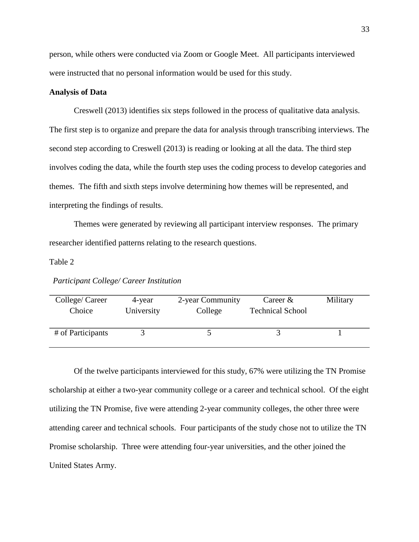person, while others were conducted via Zoom or Google Meet. All participants interviewed were instructed that no personal information would be used for this study.

## **Analysis of Data**

Creswell (2013) identifies six steps followed in the process of qualitative data analysis. The first step is to organize and prepare the data for analysis through transcribing interviews. The second step according to Creswell (2013) is reading or looking at all the data. The third step involves coding the data, while the fourth step uses the coding process to develop categories and themes. The fifth and sixth steps involve determining how themes will be represented, and interpreting the findings of results.

Themes were generated by reviewing all participant interview responses. The primary researcher identified patterns relating to the research questions.

## Table 2

*Participant College/ Career Institution*

| College/ Career   | 4-year     | 2-year Community | Career $&$              | Military |
|-------------------|------------|------------------|-------------------------|----------|
| Choice            | University | College          | <b>Technical School</b> |          |
| # of Participants |            |                  |                         |          |

Of the twelve participants interviewed for this study, 67% were utilizing the TN Promise scholarship at either a two-year community college or a career and technical school. Of the eight utilizing the TN Promise, five were attending 2-year community colleges, the other three were attending career and technical schools. Four participants of the study chose not to utilize the TN Promise scholarship. Three were attending four-year universities, and the other joined the United States Army.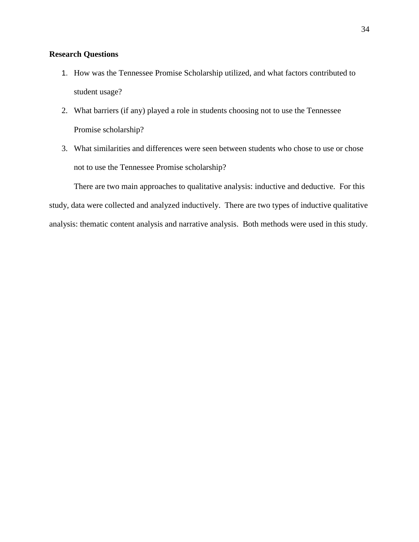# **Research Questions**

- 1. How was the Tennessee Promise Scholarship utilized, and what factors contributed to student usage?
- 2. What barriers (if any) played a role in students choosing not to use the Tennessee Promise scholarship?
- 3. What similarities and differences were seen between students who chose to use or chose not to use the Tennessee Promise scholarship?

There are two main approaches to qualitative analysis: inductive and deductive. For this study, data were collected and analyzed inductively. There are two types of inductive qualitative analysis: thematic content analysis and narrative analysis. Both methods were used in this study.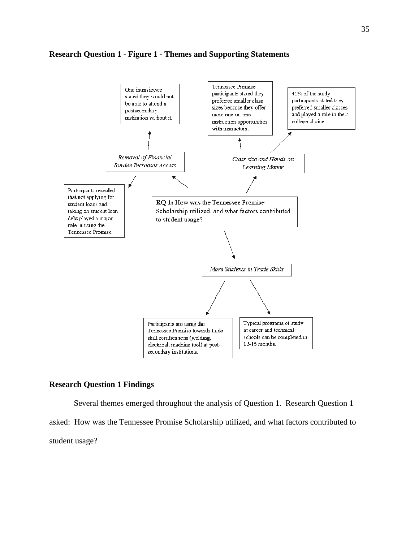## **Research Question 1 - Figure 1 - Themes and Supporting Statements**



# **Research Question 1 Findings**

Several themes emerged throughout the analysis of Question 1. Research Question 1 asked: How was the Tennessee Promise Scholarship utilized, and what factors contributed to student usage?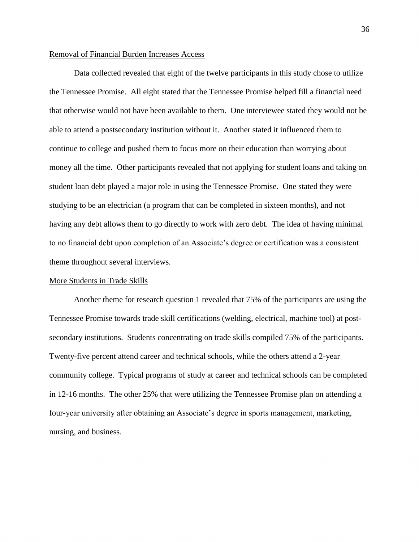## Removal of Financial Burden Increases Access

Data collected revealed that eight of the twelve participants in this study chose to utilize the Tennessee Promise. All eight stated that the Tennessee Promise helped fill a financial need that otherwise would not have been available to them. One interviewee stated they would not be able to attend a postsecondary institution without it. Another stated it influenced them to continue to college and pushed them to focus more on their education than worrying about money all the time. Other participants revealed that not applying for student loans and taking on student loan debt played a major role in using the Tennessee Promise. One stated they were studying to be an electrician (a program that can be completed in sixteen months), and not having any debt allows them to go directly to work with zero debt. The idea of having minimal to no financial debt upon completion of an Associate's degree or certification was a consistent theme throughout several interviews.

#### More Students in Trade Skills

Another theme for research question 1 revealed that 75% of the participants are using the Tennessee Promise towards trade skill certifications (welding, electrical, machine tool) at postsecondary institutions. Students concentrating on trade skills compiled 75% of the participants. Twenty-five percent attend career and technical schools, while the others attend a 2-year community college. Typical programs of study at career and technical schools can be completed in 12-16 months. The other 25% that were utilizing the Tennessee Promise plan on attending a four-year university after obtaining an Associate's degree in sports management, marketing, nursing, and business.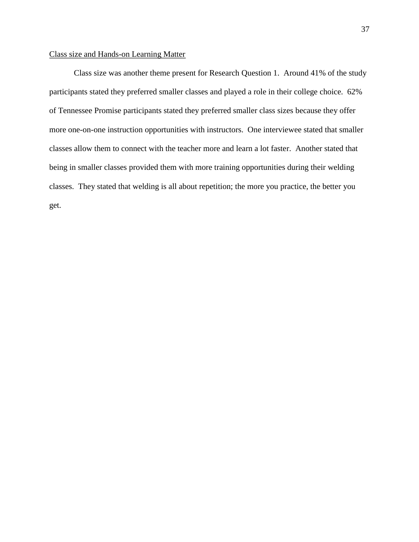# Class size and Hands-on Learning Matter

Class size was another theme present for Research Question 1. Around 41% of the study participants stated they preferred smaller classes and played a role in their college choice. 62% of Tennessee Promise participants stated they preferred smaller class sizes because they offer more one-on-one instruction opportunities with instructors. One interviewee stated that smaller classes allow them to connect with the teacher more and learn a lot faster. Another stated that being in smaller classes provided them with more training opportunities during their welding classes. They stated that welding is all about repetition; the more you practice, the better you get.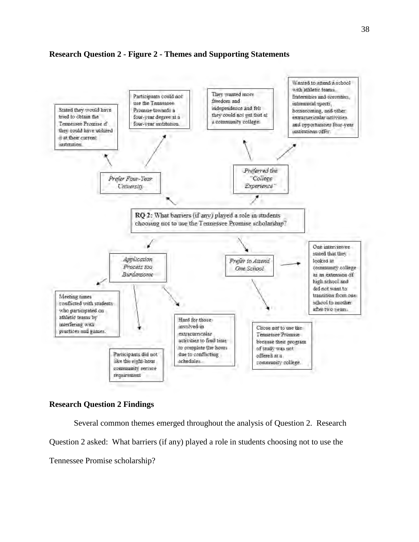# **Research Question 2 - Figure 2 - Themes and Supporting Statements**



## **Research Question 2 Findings**

Several common themes emerged throughout the analysis of Question 2. Research Question 2 asked: What barriers (if any) played a role in students choosing not to use the Tennessee Promise scholarship?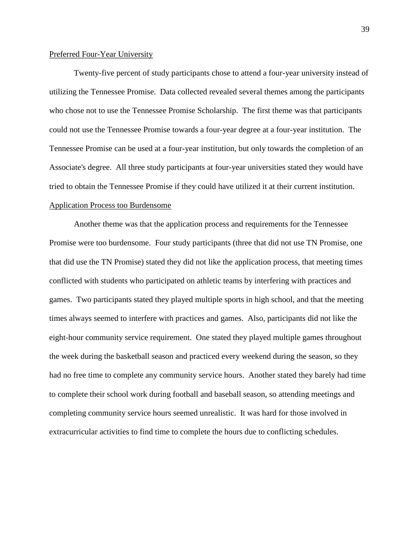## Preferred Four-Year University

Twenty-five percent of study participants chose to attend a four-year university instead of utilizing the Tennessee Promise. Data collected revealed several themes among the participants who chose not to use the Tennessee Promise Scholarship. The first theme was that participants could not use the Tennessee Promise towards a four-year degree at a four-year institution. The Tennessee Promise can be used at a four-year institution, but only towards the completion of an Associate's degree. All three study participants at four-year universities stated they would have tried to obtain the Tennessee Promise if they could have utilized it at their current institution. Application Process too Burdensome

Another theme was that the application process and requirements for the Tennessee Promise were too burdensome. Four study participants (three that did not use TN Promise, one that did use the TN Promise) stated they did not like the application process, that meeting times conflicted with students who participated on athletic teams by interfering with practices and games. Two participants stated they played multiple sports in high school, and that the meeting times always seemed to interfere with practices and games. Also, participants did not like the eight-hour community service requirement. One stated they played multiple games throughout the week during the basketball season and practiced every weekend during the season, so they had no free time to complete any community service hours. Another stated they barely had time to complete their school work during football and baseball season, so attending meetings and completing community service hours seemed unrealistic. It was hard for those involved in extracurricular activities to find time to complete the hours due to conflicting schedules.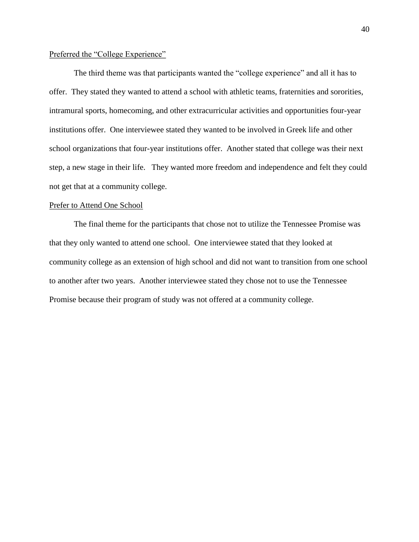## Preferred the "College Experience"

The third theme was that participants wanted the "college experience" and all it has to offer. They stated they wanted to attend a school with athletic teams, fraternities and sororities, intramural sports, homecoming, and other extracurricular activities and opportunities four-year institutions offer. One interviewee stated they wanted to be involved in Greek life and other school organizations that four-year institutions offer. Another stated that college was their next step, a new stage in their life. They wanted more freedom and independence and felt they could not get that at a community college.

## Prefer to Attend One School

The final theme for the participants that chose not to utilize the Tennessee Promise was that they only wanted to attend one school. One interviewee stated that they looked at community college as an extension of high school and did not want to transition from one school to another after two years. Another interviewee stated they chose not to use the Tennessee Promise because their program of study was not offered at a community college.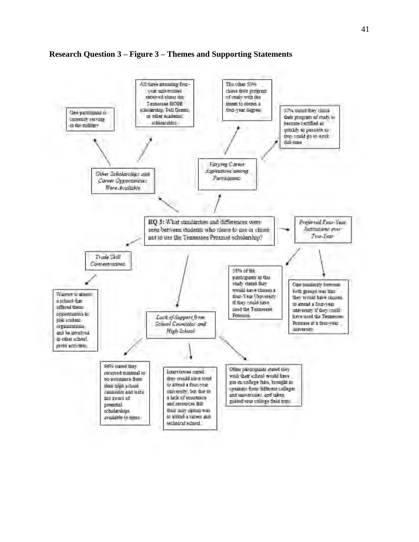

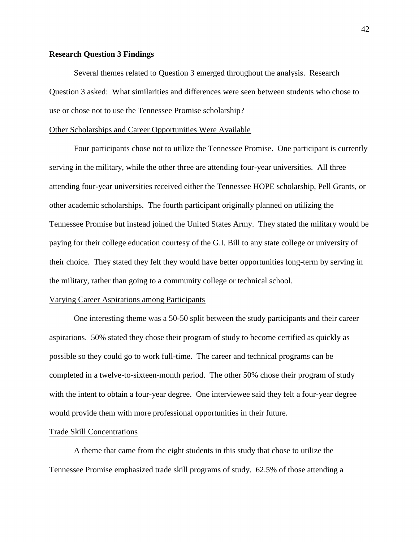## **Research Question 3 Findings**

Several themes related to Question 3 emerged throughout the analysis. Research Question 3 asked: What similarities and differences were seen between students who chose to use or chose not to use the Tennessee Promise scholarship?

### Other Scholarships and Career Opportunities Were Available

Four participants chose not to utilize the Tennessee Promise. One participant is currently serving in the military, while the other three are attending four-year universities. All three attending four-year universities received either the Tennessee HOPE scholarship, Pell Grants, or other academic scholarships. The fourth participant originally planned on utilizing the Tennessee Promise but instead joined the United States Army. They stated the military would be paying for their college education courtesy of the G.I. Bill to any state college or university of their choice. They stated they felt they would have better opportunities long-term by serving in the military, rather than going to a community college or technical school.

#### Varying Career Aspirations among Participants

One interesting theme was a 50-50 split between the study participants and their career aspirations. 50% stated they chose their program of study to become certified as quickly as possible so they could go to work full-time. The career and technical programs can be completed in a twelve-to-sixteen-month period. The other 50% chose their program of study with the intent to obtain a four-year degree. One interviewee said they felt a four-year degree would provide them with more professional opportunities in their future.

#### Trade Skill Concentrations

A theme that came from the eight students in this study that chose to utilize the Tennessee Promise emphasized trade skill programs of study. 62.5% of those attending a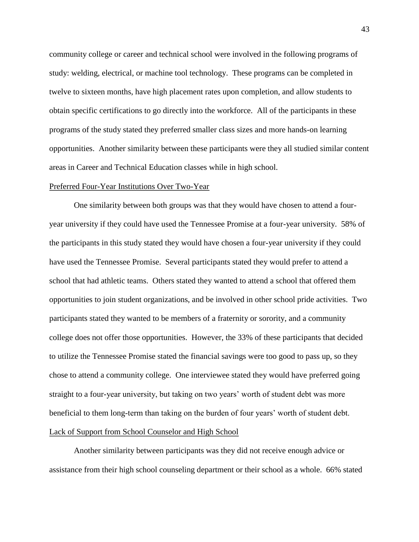community college or career and technical school were involved in the following programs of study: welding, electrical, or machine tool technology. These programs can be completed in twelve to sixteen months, have high placement rates upon completion, and allow students to obtain specific certifications to go directly into the workforce. All of the participants in these programs of the study stated they preferred smaller class sizes and more hands-on learning opportunities. Another similarity between these participants were they all studied similar content areas in Career and Technical Education classes while in high school.

#### Preferred Four-Year Institutions Over Two-Year

One similarity between both groups was that they would have chosen to attend a fouryear university if they could have used the Tennessee Promise at a four-year university. 58% of the participants in this study stated they would have chosen a four-year university if they could have used the Tennessee Promise. Several participants stated they would prefer to attend a school that had athletic teams. Others stated they wanted to attend a school that offered them opportunities to join student organizations, and be involved in other school pride activities. Two participants stated they wanted to be members of a fraternity or sorority, and a community college does not offer those opportunities. However, the 33% of these participants that decided to utilize the Tennessee Promise stated the financial savings were too good to pass up, so they chose to attend a community college. One interviewee stated they would have preferred going straight to a four-year university, but taking on two years' worth of student debt was more beneficial to them long-term than taking on the burden of four years' worth of student debt. Lack of Support from School Counselor and High School

Another similarity between participants was they did not receive enough advice or assistance from their high school counseling department or their school as a whole. 66% stated

43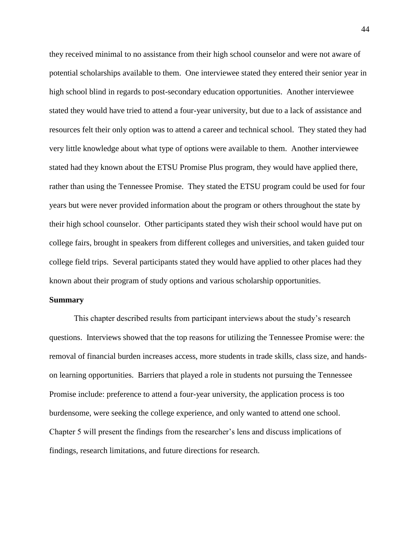they received minimal to no assistance from their high school counselor and were not aware of potential scholarships available to them. One interviewee stated they entered their senior year in high school blind in regards to post-secondary education opportunities. Another interviewee stated they would have tried to attend a four-year university, but due to a lack of assistance and resources felt their only option was to attend a career and technical school. They stated they had very little knowledge about what type of options were available to them. Another interviewee stated had they known about the ETSU Promise Plus program, they would have applied there, rather than using the Tennessee Promise. They stated the ETSU program could be used for four years but were never provided information about the program or others throughout the state by their high school counselor. Other participants stated they wish their school would have put on college fairs, brought in speakers from different colleges and universities, and taken guided tour college field trips. Several participants stated they would have applied to other places had they known about their program of study options and various scholarship opportunities.

### **Summary**

This chapter described results from participant interviews about the study's research questions. Interviews showed that the top reasons for utilizing the Tennessee Promise were: the removal of financial burden increases access, more students in trade skills, class size, and handson learning opportunities. Barriers that played a role in students not pursuing the Tennessee Promise include: preference to attend a four-year university, the application process is too burdensome, were seeking the college experience, and only wanted to attend one school. Chapter 5 will present the findings from the researcher's lens and discuss implications of findings, research limitations, and future directions for research.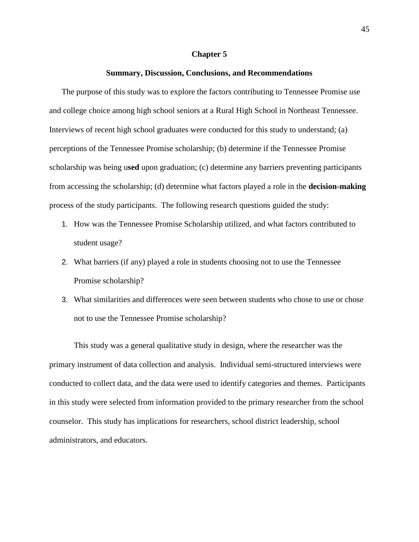#### **Chapter 5**

#### **Summary, Discussion, Conclusions, and Recommendations**

The purpose of this study was to explore the factors contributing to Tennessee Promise use and college choice among high school seniors at a Rural High School in Northeast Tennessee. Interviews of recent high school graduates were conducted for this study to understand; (a) perceptions of the Tennessee Promise scholarship; (b) determine if the Tennessee Promise scholarship was being u**sed** upon graduation; (c) determine any barriers preventing participants from accessing the scholarship; (d) determine what factors played a role in the **decision-making** process of the study participants. The following research questions guided the study:

- 1. How was the Tennessee Promise Scholarship utilized, and what factors contributed to student usage?
- 2. What barriers (if any) played a role in students choosing not to use the Tennessee Promise scholarship?
- 3. What similarities and differences were seen between students who chose to use or chose not to use the Tennessee Promise scholarship?

This study was a general qualitative study in design, where the researcher was the primary instrument of data collection and analysis. Individual semi-structured interviews were conducted to collect data, and the data were used to identify categories and themes. Participants in this study were selected from information provided to the primary researcher from the school counselor. This study has implications for researchers, school district leadership, school administrators, and educators.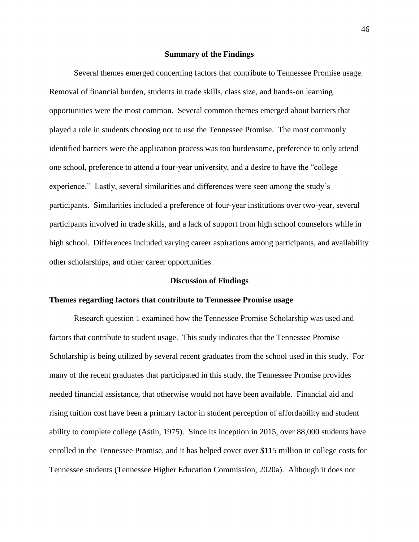#### **Summary of the Findings**

Several themes emerged concerning factors that contribute to Tennessee Promise usage. Removal of financial burden, students in trade skills, class size, and hands-on learning opportunities were the most common. Several common themes emerged about barriers that played a role in students choosing not to use the Tennessee Promise. The most commonly identified barriers were the application process was too burdensome, preference to only attend one school, preference to attend a four-year university, and a desire to have the "college experience." Lastly, several similarities and differences were seen among the study's participants. Similarities included a preference of four-year institutions over two-year, several participants involved in trade skills, and a lack of support from high school counselors while in high school. Differences included varying career aspirations among participants, and availability other scholarships, and other career opportunities.

#### **Discussion of Findings**

### **Themes regarding factors that contribute to Tennessee Promise usage**

Research question 1 examined how the Tennessee Promise Scholarship was used and factors that contribute to student usage. This study indicates that the Tennessee Promise Scholarship is being utilized by several recent graduates from the school used in this study. For many of the recent graduates that participated in this study, the Tennessee Promise provides needed financial assistance, that otherwise would not have been available. Financial aid and rising tuition cost have been a primary factor in student perception of affordability and student ability to complete college (Astin, 1975). Since its inception in 2015, over 88,000 students have enrolled in the Tennessee Promise, and it has helped cover over \$115 million in college costs for Tennessee students (Tennessee Higher Education Commission, 2020a). Although it does not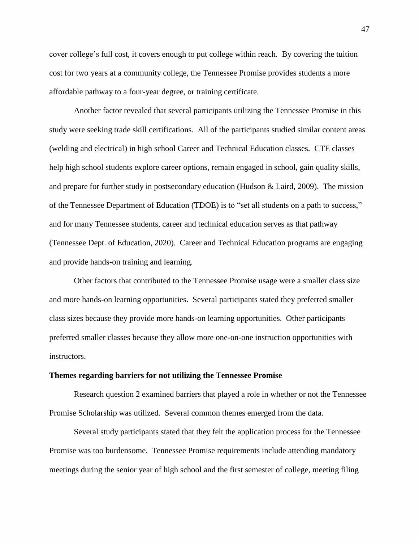cover college's full cost, it covers enough to put college within reach. By covering the tuition cost for two years at a community college, the Tennessee Promise provides students a more affordable pathway to a four-year degree, or training certificate.

Another factor revealed that several participants utilizing the Tennessee Promise in this study were seeking trade skill certifications. All of the participants studied similar content areas (welding and electrical) in high school Career and Technical Education classes. CTE classes help high school students explore career options, remain engaged in school, gain quality skills, and prepare for further study in postsecondary education (Hudson & Laird, 2009). The mission of the Tennessee Department of Education (TDOE) is to "set all students on a path to success," and for many Tennessee students, career and technical education serves as that pathway (Tennessee Dept. of Education, 2020). Career and Technical Education programs are engaging and provide hands-on training and learning.

Other factors that contributed to the Tennessee Promise usage were a smaller class size and more hands-on learning opportunities. Several participants stated they preferred smaller class sizes because they provide more hands-on learning opportunities. Other participants preferred smaller classes because they allow more one-on-one instruction opportunities with instructors.

#### **Themes regarding barriers for not utilizing the Tennessee Promise**

Research question 2 examined barriers that played a role in whether or not the Tennessee Promise Scholarship was utilized. Several common themes emerged from the data.

Several study participants stated that they felt the application process for the Tennessee Promise was too burdensome. Tennessee Promise requirements include attending mandatory meetings during the senior year of high school and the first semester of college, meeting filing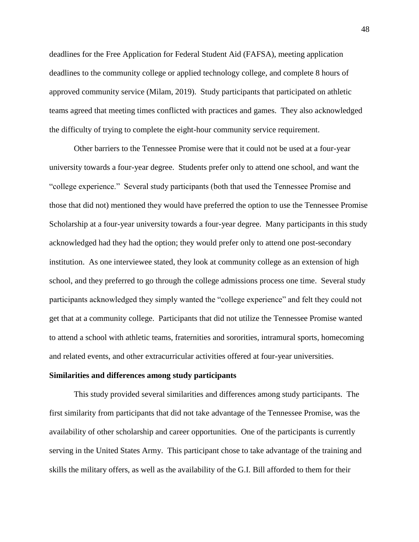deadlines for the Free Application for Federal Student Aid (FAFSA), meeting application deadlines to the community college or applied technology college, and complete 8 hours of approved community service (Milam, 2019). Study participants that participated on athletic teams agreed that meeting times conflicted with practices and games. They also acknowledged the difficulty of trying to complete the eight-hour community service requirement.

Other barriers to the Tennessee Promise were that it could not be used at a four-year university towards a four-year degree. Students prefer only to attend one school, and want the "college experience." Several study participants (both that used the Tennessee Promise and those that did not) mentioned they would have preferred the option to use the Tennessee Promise Scholarship at a four-year university towards a four-year degree. Many participants in this study acknowledged had they had the option; they would prefer only to attend one post-secondary institution. As one interviewee stated, they look at community college as an extension of high school, and they preferred to go through the college admissions process one time. Several study participants acknowledged they simply wanted the "college experience" and felt they could not get that at a community college. Participants that did not utilize the Tennessee Promise wanted to attend a school with athletic teams, fraternities and sororities, intramural sports, homecoming and related events, and other extracurricular activities offered at four-year universities.

#### **Similarities and differences among study participants**

This study provided several similarities and differences among study participants. The first similarity from participants that did not take advantage of the Tennessee Promise, was the availability of other scholarship and career opportunities. One of the participants is currently serving in the United States Army. This participant chose to take advantage of the training and skills the military offers, as well as the availability of the G.I. Bill afforded to them for their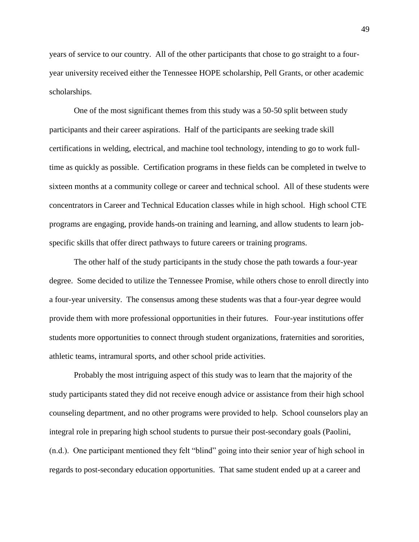years of service to our country. All of the other participants that chose to go straight to a fouryear university received either the Tennessee HOPE scholarship, Pell Grants, or other academic scholarships.

One of the most significant themes from this study was a 50-50 split between study participants and their career aspirations. Half of the participants are seeking trade skill certifications in welding, electrical, and machine tool technology, intending to go to work fulltime as quickly as possible. Certification programs in these fields can be completed in twelve to sixteen months at a community college or career and technical school. All of these students were concentrators in Career and Technical Education classes while in high school. High school CTE programs are engaging, provide hands-on training and learning, and allow students to learn jobspecific skills that offer direct pathways to future careers or training programs.

The other half of the study participants in the study chose the path towards a four-year degree. Some decided to utilize the Tennessee Promise, while others chose to enroll directly into a four-year university. The consensus among these students was that a four-year degree would provide them with more professional opportunities in their futures. Four-year institutions offer students more opportunities to connect through student organizations, fraternities and sororities, athletic teams, intramural sports, and other school pride activities.

Probably the most intriguing aspect of this study was to learn that the majority of the study participants stated they did not receive enough advice or assistance from their high school counseling department, and no other programs were provided to help. School counselors play an integral role in preparing high school students to pursue their post-secondary goals (Paolini, (n.d.). One participant mentioned they felt "blind" going into their senior year of high school in regards to post-secondary education opportunities. That same student ended up at a career and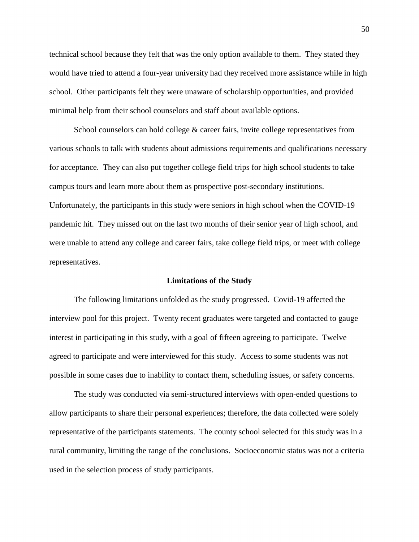technical school because they felt that was the only option available to them. They stated they would have tried to attend a four-year university had they received more assistance while in high school. Other participants felt they were unaware of scholarship opportunities, and provided minimal help from their school counselors and staff about available options.

School counselors can hold college & career fairs, invite college representatives from various schools to talk with students about admissions requirements and qualifications necessary for acceptance. They can also put together college field trips for high school students to take campus tours and learn more about them as prospective post-secondary institutions. Unfortunately, the participants in this study were seniors in high school when the COVID-19 pandemic hit. They missed out on the last two months of their senior year of high school, and were unable to attend any college and career fairs, take college field trips, or meet with college representatives.

#### **Limitations of the Study**

The following limitations unfolded as the study progressed. Covid-19 affected the interview pool for this project. Twenty recent graduates were targeted and contacted to gauge interest in participating in this study, with a goal of fifteen agreeing to participate. Twelve agreed to participate and were interviewed for this study. Access to some students was not possible in some cases due to inability to contact them, scheduling issues, or safety concerns.

The study was conducted via semi-structured interviews with open-ended questions to allow participants to share their personal experiences; therefore, the data collected were solely representative of the participants statements. The county school selected for this study was in a rural community, limiting the range of the conclusions. Socioeconomic status was not a criteria used in the selection process of study participants.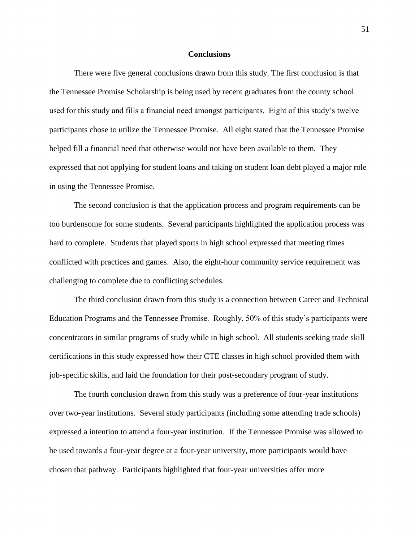#### **Conclusions**

There were five general conclusions drawn from this study. The first conclusion is that the Tennessee Promise Scholarship is being used by recent graduates from the county school used for this study and fills a financial need amongst participants. Eight of this study's twelve participants chose to utilize the Tennessee Promise. All eight stated that the Tennessee Promise helped fill a financial need that otherwise would not have been available to them. They expressed that not applying for student loans and taking on student loan debt played a major role in using the Tennessee Promise.

The second conclusion is that the application process and program requirements can be too burdensome for some students. Several participants highlighted the application process was hard to complete. Students that played sports in high school expressed that meeting times conflicted with practices and games. Also, the eight-hour community service requirement was challenging to complete due to conflicting schedules.

The third conclusion drawn from this study is a connection between Career and Technical Education Programs and the Tennessee Promise. Roughly, 50% of this study's participants were concentrators in similar programs of study while in high school. All students seeking trade skill certifications in this study expressed how their CTE classes in high school provided them with job-specific skills, and laid the foundation for their post-secondary program of study.

The fourth conclusion drawn from this study was a preference of four-year institutions over two-year institutions. Several study participants (including some attending trade schools) expressed a intention to attend a four-year institution. If the Tennessee Promise was allowed to be used towards a four-year degree at a four-year university, more participants would have chosen that pathway. Participants highlighted that four-year universities offer more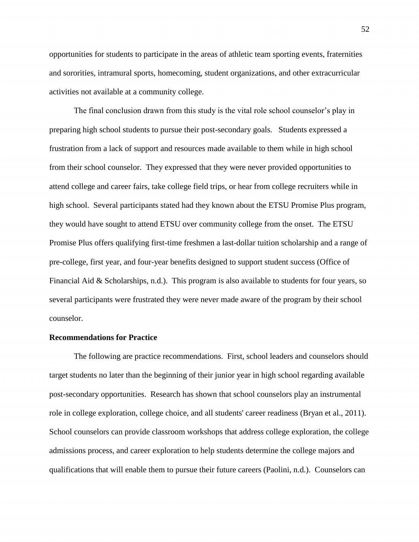opportunities for students to participate in the areas of athletic team sporting events, fraternities and sororities, intramural sports, homecoming, student organizations, and other extracurricular activities not available at a community college.

The final conclusion drawn from this study is the vital role school counselor's play in preparing high school students to pursue their post-secondary goals. Students expressed a frustration from a lack of support and resources made available to them while in high school from their school counselor. They expressed that they were never provided opportunities to attend college and career fairs, take college field trips, or hear from college recruiters while in high school. Several participants stated had they known about the ETSU Promise Plus program, they would have sought to attend ETSU over community college from the onset. The ETSU Promise Plus offers qualifying first-time freshmen a last-dollar tuition scholarship and a range of pre-college, first year, and four-year benefits designed to support student success (Office of Financial Aid & Scholarships, n.d.). This program is also available to students for four years, so several participants were frustrated they were never made aware of the program by their school counselor.

## **Recommendations for Practice**

The following are practice recommendations. First, school leaders and counselors should target students no later than the beginning of their junior year in high school regarding available post-secondary opportunities. Research has shown that school counselors play an instrumental role in college exploration, college choice, and all students' career readiness (Bryan et al., 2011). School counselors can provide classroom workshops that address college exploration, the college admissions process, and career exploration to help students determine the college majors and qualifications that will enable them to pursue their future careers (Paolini, n.d.). Counselors can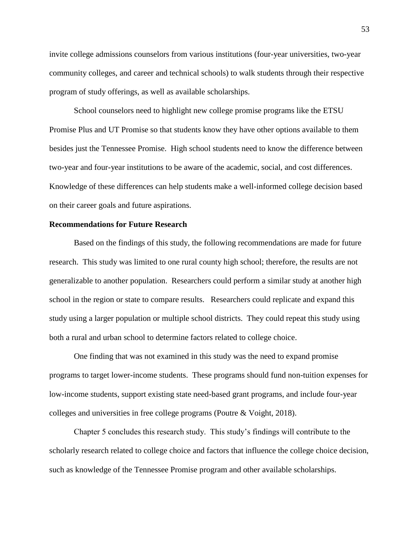invite college admissions counselors from various institutions (four-year universities, two-year community colleges, and career and technical schools) to walk students through their respective program of study offerings, as well as available scholarships.

School counselors need to highlight new college promise programs like the ETSU Promise Plus and UT Promise so that students know they have other options available to them besides just the Tennessee Promise. High school students need to know the difference between two-year and four-year institutions to be aware of the academic, social, and cost differences. Knowledge of these differences can help students make a well-informed college decision based on their career goals and future aspirations.

## **Recommendations for Future Research**

Based on the findings of this study, the following recommendations are made for future research. This study was limited to one rural county high school; therefore, the results are not generalizable to another population. Researchers could perform a similar study at another high school in the region or state to compare results. Researchers could replicate and expand this study using a larger population or multiple school districts. They could repeat this study using both a rural and urban school to determine factors related to college choice.

One finding that was not examined in this study was the need to expand promise programs to target lower-income students. These programs should fund non-tuition expenses for low-income students, support existing state need-based grant programs, and include four-year colleges and universities in free college programs (Poutre & Voight, 2018).

Chapter 5 concludes this research study. This study's findings will contribute to the scholarly research related to college choice and factors that influence the college choice decision, such as knowledge of the Tennessee Promise program and other available scholarships.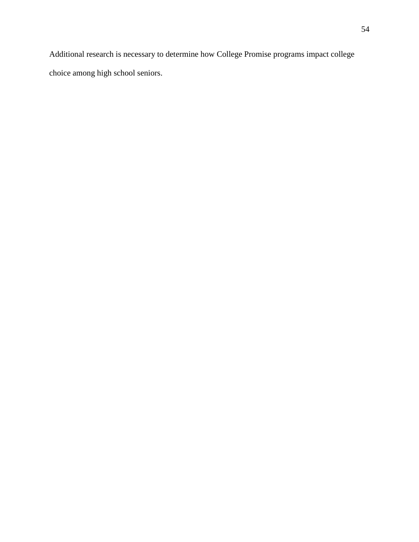Additional research is necessary to determine how College Promise programs impact college choice among high school seniors.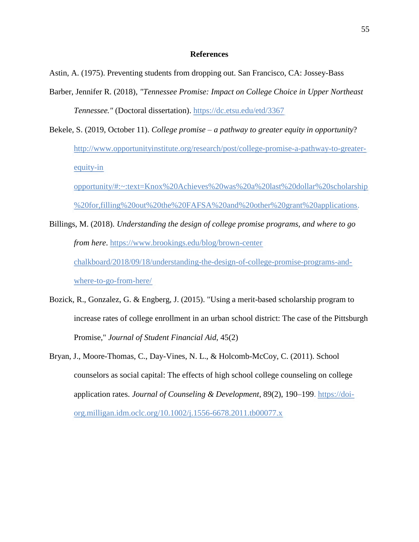### **References**

Astin, A. (1975). Preventing students from dropping out. San Francisco, CA: Jossey-Bass

- Barber, Jennifer R. (2018), *"Tennessee Promise: Impact on College Choice in Upper Northeast Tennessee."* (Doctoral dissertation).<https://dc.etsu.edu/etd/3367>
- Bekele, S. (2019, October 11). *College promise – a pathway to greater equity in opportunity*? [http://www.opportunityinstitute.org/research/post/college-promise-a-pathway-to-greater](http://www.opportunityinstitute.org/research/post/college-promise-a-pathway-to-greater-equity-in%20opportunity/#:~:text=Knox%20Achieves%20was%20a%20last%20dollar%20scholarship%20for,filling%20out%20the%20FAFSA%20and%20other%20grant%20applications)[equity-in](http://www.opportunityinstitute.org/research/post/college-promise-a-pathway-to-greater-equity-in%20opportunity/#:~:text=Knox%20Achieves%20was%20a%20last%20dollar%20scholarship%20for,filling%20out%20the%20FAFSA%20and%20other%20grant%20applications)

[opportunity/#:~:text=Knox%20Achieves%20was%20a%20last%20dollar%20scholarship](http://www.opportunityinstitute.org/research/post/college-promise-a-pathway-to-greater-equity-in%20opportunity/#:~:text=Knox%20Achieves%20was%20a%20last%20dollar%20scholarship%20for,filling%20out%20the%20FAFSA%20and%20other%20grant%20applications) [%20for,filling%20out%20the%20FAFSA%20and%20other%20grant%20applications.](http://www.opportunityinstitute.org/research/post/college-promise-a-pathway-to-greater-equity-in%20opportunity/#:~:text=Knox%20Achieves%20was%20a%20last%20dollar%20scholarship%20for,filling%20out%20the%20FAFSA%20and%20other%20grant%20applications)

- Billings, M. (2018). *Understanding the design of college promise programs, and where to go from here*. [https://www.brookings.edu/blog/brown-center](https://www.brookings.edu/blog/brown-center%20chalkboard/2018/09/18/understanding-the-design-of-college-promise-programs-and-where-to-go-from-here/)  [chalkboard/2018/09/18/understanding-the-design-of-college-promise-programs-and](https://www.brookings.edu/blog/brown-center%20chalkboard/2018/09/18/understanding-the-design-of-college-promise-programs-and-where-to-go-from-here/)[where-to-go-from-here/](https://www.brookings.edu/blog/brown-center%20chalkboard/2018/09/18/understanding-the-design-of-college-promise-programs-and-where-to-go-from-here/)
- Bozick, R., Gonzalez, G. & Engberg, J. (2015). "Using a merit-based scholarship program to increase rates of college enrollment in an urban school district: The case of the Pittsburgh Promise," *Journal of Student Financial Aid*, 45(2)
- Bryan, J., Moore-Thomas, C., Day-Vines, N. L., & Holcomb-McCoy, C. (2011). School counselors as social capital: The effects of high school college counseling on college application rates. *Journal of Counseling & Development*, 89(2), 190–199. [https://doi](https://doi-org.milligan.idm.oclc.org/10.1002/j.1556-6678.2011.tb00077.x)[org.milligan.idm.oclc.org/10.1002/j.1556-6678.2011.tb00077.x](https://doi-org.milligan.idm.oclc.org/10.1002/j.1556-6678.2011.tb00077.x)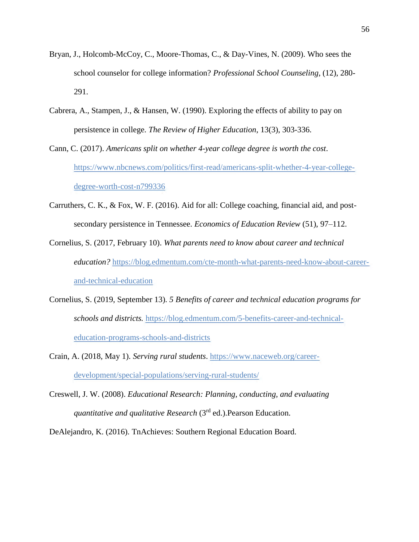- Bryan, J., Holcomb-McCoy, C., Moore-Thomas, C., & Day-Vines, N. (2009). Who sees the school counselor for college information? *Professional School Counseling*, (12), 280- 291.
- Cabrera, A., Stampen, J., & Hansen, W. (1990). Exploring the effects of ability to pay on persistence in college*. The Review of Higher Education*, 13(3), 303-336.
- Cann, C. (2017). *Americans split on whether 4-year college degree is worth the cost*. [https://www.nbcnews.com/politics/first-read/americans-split-whether-4-year-college](https://www.nbcnews.com/politics/first-read/americans-split-whether-4-year-college-degree-worth-cost-n799336)[degree-worth-cost-n799336](https://www.nbcnews.com/politics/first-read/americans-split-whether-4-year-college-degree-worth-cost-n799336)
- Carruthers, C. K., & Fox, W. F. (2016). Aid for all: College coaching, financial aid, and postsecondary persistence in Tennessee. *Economics of Education Review* (51), 97–112.
- Cornelius, S. (2017, February 10). *What parents need to know about career and technical education?* [https://blog.edmentum.com/cte-month-what-parents-need-know-about-career](https://blog.edmentum.com/cte-month-what-parents-need-know-about-career-and-technical-education)[and-technical-education](https://blog.edmentum.com/cte-month-what-parents-need-know-about-career-and-technical-education)
- Cornelius, S. (2019, September 13). *5 Benefits of career and technical education programs for schools and districts.* [https://blog.edmentum.com/5-benefits-career-and-technical](https://blog.edmentum.com/5-benefits-career-and-technical-education-programs-schools-and-districts)[education-programs-schools-and-districts](https://blog.edmentum.com/5-benefits-career-and-technical-education-programs-schools-and-districts)
- Crain, A. (2018, May 1). *Serving rural students*. [https://www.naceweb.org/career](https://www.naceweb.org/career-development/special-populations/serving-rural-students/)[development/special-populations/serving-rural-students/](https://www.naceweb.org/career-development/special-populations/serving-rural-students/)
- Creswell, J. W. (2008). *Educational Research: Planning, conducting, and evaluating quantitative and qualitative Research* (3rd ed.).Pearson Education.
- DeAlejandro, K. (2016). TnAchieves: Southern Regional Education Board.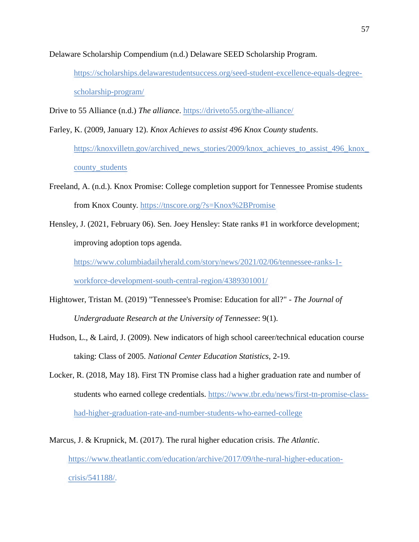Delaware Scholarship Compendium (n.d.) Delaware SEED Scholarship Program.

[https://scholarships.delawarestudentsuccess.org/seed-student-excellence-equals-degree](https://scholarships.delawarestudentsuccess.org/seed-student-excellence-equals-degree-scholarship-program/)[scholarship-program/](https://scholarships.delawarestudentsuccess.org/seed-student-excellence-equals-degree-scholarship-program/)

Drive to 55 Alliance (n.d.) *The alliance*. https://driveto55.org/the-alliance/

- Farley, K. (2009, January 12). *Knox Achieves to assist 496 Knox County students*. [https://knoxvilletn.gov/archived\\_news\\_stories/2009/knox\\_achieves\\_to\\_assist\\_496\\_knox\\_](https://knoxvilletn.gov/archived_news_stories/2009/knox_achieves_to_assist_496_knox_county_students) [county\\_students](https://knoxvilletn.gov/archived_news_stories/2009/knox_achieves_to_assist_496_knox_county_students)
- Freeland, A. (n.d.). Knox Promise: College completion support for Tennessee Promise students from Knox County.<https://tnscore.org/?s=Knox%2BPromise>
- Hensley, J. (2021, February 06). Sen. Joey Hensley: State ranks #1 in workforce development; improving adoption tops agenda.

[https://www.columbiadailyherald.com/story/news/2021/02/06/tennessee-ranks-1-](https://www.columbiadailyherald.com/story/news/2021/02/06/tennessee-ranks-1-workforce-development-south-central-region/4389301001/)

[workforce-development-south-central-region/4389301001/](https://www.columbiadailyherald.com/story/news/2021/02/06/tennessee-ranks-1-workforce-development-south-central-region/4389301001/)

- Hightower, Tristan M. (2019) "Tennessee's Promise: Education for all?" *- The Journal of Undergraduate Research at the University of Tennessee*: 9(1).
- Hudson, L., & Laird, J. (2009). New indicators of high school career/technical education course taking: Class of 2005. *National Center Education Statistics*, 2-19.
- Locker, R. (2018, May 18). First TN Promise class had a higher graduation rate and number of students who earned college credentials. [https://www.tbr.edu/news/first-tn-promise-class](https://www.tbr.edu/news/first-tn-promise-class-had-higher-graduation-rate-and-number-students-who-earned-college)[had-higher-graduation-rate-and-number-students-who-earned-college](https://www.tbr.edu/news/first-tn-promise-class-had-higher-graduation-rate-and-number-students-who-earned-college)
- Marcus, J. & Krupnick, M. (2017). The rural higher education crisis. *The Atlantic*. [https://www.theatlantic.com/education/archive/2017/09/the-rural-higher-education](https://www.theatlantic.com/education/archive/2017/09/the-rural-higher-education-crisis/541188/)[crisis/541188/.](https://www.theatlantic.com/education/archive/2017/09/the-rural-higher-education-crisis/541188/)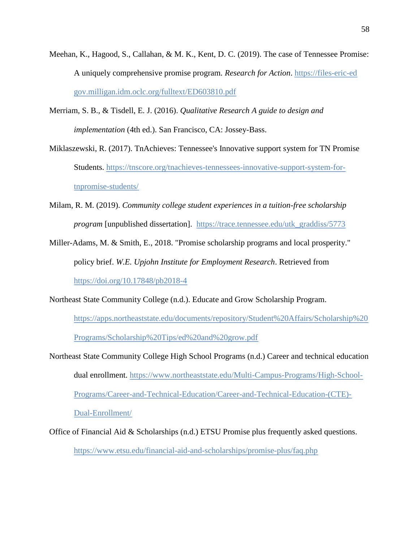- Meehan, K., Hagood, S., Callahan, & M. K., Kent, D. C. (2019). The case of Tennessee Promise: A uniquely comprehensive promise program*. Research for Action*. https://files-eric-ed gov.milligan.idm.oclc.org/fulltext/ED603810.pdf
- Merriam, S. B., & Tisdell, E. J. (2016). *Qualitative Research A guide to design and implementation* (4th ed.). San Francisco, CA: Jossey-Bass.
- Miklaszewski, R. (2017). TnAchieves: Tennessee's Innovative support system for TN Promise Students. [https://tnscore.org/tnachieves-tennessees-innovative-support-system-for](https://tnscore.org/tnachieves-tennessees-innovative-support-system-for-tnpromise-students/)[tnpromise-students/](https://tnscore.org/tnachieves-tennessees-innovative-support-system-for-tnpromise-students/)
- Milam, R. M. (2019). *Community college student experiences in a tuition-free scholarship program* [unpublished dissertation]. [https://trace.tennessee.edu/utk\\_graddiss/5773](https://trace.tennessee.edu/utk_graddiss/5773)
- Miller-Adams, M. & Smith, E., 2018. "Promise scholarship programs and local prosperity." policy brief. *W.E. Upjohn Institute for Employment Research*. Retrieved from <https://doi.org/10.17848/pb2018-4>
- Northeast State Community College (n.d.). Educate and Grow Scholarship Program.

[https://apps.northeaststate.edu/documents/repository/Student%20Affairs/Scholarship%20](https://apps.northeaststate.edu/documents/repository/Student%20Affairs/Scholarship%20Programs/Scholarship%20Tips/ed%20and%20grow.pdf) [Programs/Scholarship%20Tips/ed%20and%20grow.pdf](https://apps.northeaststate.edu/documents/repository/Student%20Affairs/Scholarship%20Programs/Scholarship%20Tips/ed%20and%20grow.pdf)

- Northeast State Community College High School Programs (n.d.) Career and technical education dual enrollment. [https://www.northeaststate.edu/Multi-Campus-Programs/High-School-](https://www.northeaststate.edu/Multi-Campus-Programs/High-School-Programs/Career-and-Technical-Education/Career-and-Technical-Education-(CTE)-Dual-Enrollment/)[Programs/Career-and-Technical-Education/Career-and-Technical-Education-\(CTE\)-](https://www.northeaststate.edu/Multi-Campus-Programs/High-School-Programs/Career-and-Technical-Education/Career-and-Technical-Education-(CTE)-Dual-Enrollment/) [Dual-Enrollment/](https://www.northeaststate.edu/Multi-Campus-Programs/High-School-Programs/Career-and-Technical-Education/Career-and-Technical-Education-(CTE)-Dual-Enrollment/)
- Office of Financial Aid & Scholarships (n.d.) ETSU Promise plus frequently asked questions. <https://www.etsu.edu/financial-aid-and-scholarships/promise-plus/faq.php>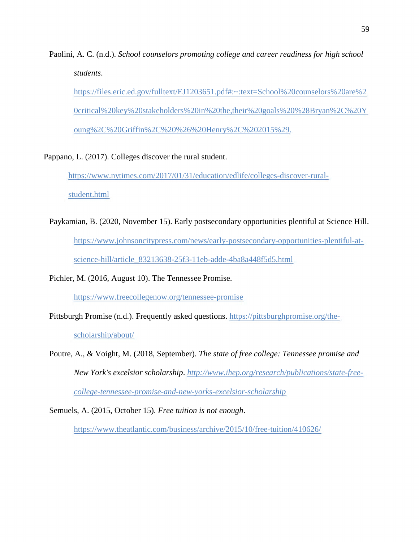Paolini, A. C. (n.d.). *School counselors promoting college and career readiness for high school students*.

[https://files.eric.ed.gov/fulltext/EJ1203651.pdf#:~:text=School%20counselors%20are%2](https://files.eric.ed.gov/fulltext/EJ1203651.pdf#:~:text=School%20counselors%20are%20critical%20key%20stakeholders%20in%20the,their%20goals%20%28Bryan%2C%20Young%2C%20Griffin%2C%20%26%20Henry%2C%202015%29) [0critical%20key%20stakeholders%20in%20the,their%20goals%20%28Bryan%2C%20Y](https://files.eric.ed.gov/fulltext/EJ1203651.pdf#:~:text=School%20counselors%20are%20critical%20key%20stakeholders%20in%20the,their%20goals%20%28Bryan%2C%20Young%2C%20Griffin%2C%20%26%20Henry%2C%202015%29) [oung%2C%20Griffin%2C%20%26%20Henry%2C%202015%29.](https://files.eric.ed.gov/fulltext/EJ1203651.pdf#:~:text=School%20counselors%20are%20critical%20key%20stakeholders%20in%20the,their%20goals%20%28Bryan%2C%20Young%2C%20Griffin%2C%20%26%20Henry%2C%202015%29)

Pappano, L. (2017). Colleges discover the rural student.

[https://www.nytimes.com/2017/01/31/education/edlife/colleges-discover-rural-](https://www.nytimes.com/2017/01/31/education/edlife/colleges-discover-rural-student.html)

[student.html](https://www.nytimes.com/2017/01/31/education/edlife/colleges-discover-rural-student.html)

Paykamian, B. (2020, November 15). Early postsecondary opportunities plentiful at Science Hill. [https://www.johnsoncitypress.com/news/early-postsecondary-opportunities-plentiful-at](https://www.johnsoncitypress.com/news/early-postsecondary-opportunities-plentiful-at-science-hill/article_83213638-25f3-11eb-adde-4ba8a448f5d5.html)[science-hill/article\\_83213638-25f3-11eb-adde-4ba8a448f5d5.html](https://www.johnsoncitypress.com/news/early-postsecondary-opportunities-plentiful-at-science-hill/article_83213638-25f3-11eb-adde-4ba8a448f5d5.html)

Pichler, M. (2016, August 10). The Tennessee Promise.

<https://www.freecollegenow.org/tennessee-promise>

Pittsburgh Promise (n.d.). Frequently asked questions. [https://pittsburghpromise.org/the-](https://pittsburghpromise.org/the-scholarship/about/)

[scholarship/about/](https://pittsburghpromise.org/the-scholarship/about/)

Poutre, A., & Voight, M. (2018, September). *The state of free college: Tennessee promise and New York's excelsior scholarship*. *[http://www.ihep.org/research/publications/state-free](http://www.ihep.org/research/publications/state-free-college-tennessee-promise-and-new-yorks-excelsior-scholarship)[college-tennessee-promise-and-new-yorks-excelsior-scholarship](http://www.ihep.org/research/publications/state-free-college-tennessee-promise-and-new-yorks-excelsior-scholarship)*

Semuels, A. (2015, October 15). *Free tuition is not enough*.

<https://www.theatlantic.com/business/archive/2015/10/free-tuition/410626/>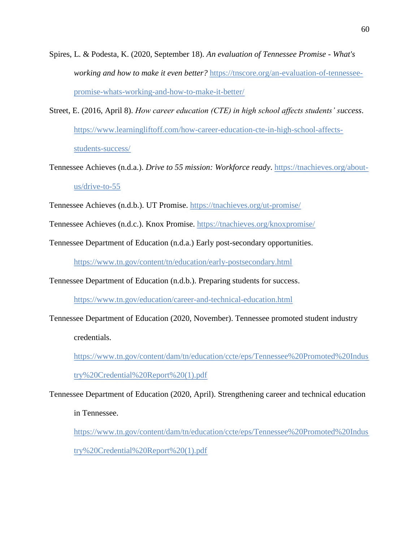- Spires, L. & Podesta, K. (2020, September 18). *An evaluation of Tennessee Promise - What's working and how to make it even better?* [https://tnscore.org/an-evaluation-of-tennessee](https://tnscore.org/an-evaluation-of-tennessee-promise-whats-working-and-how-to-make-it-better/)[promise-whats-working-and-how-to-make-it-better/](https://tnscore.org/an-evaluation-of-tennessee-promise-whats-working-and-how-to-make-it-better/)
- Street, E. (2016, April 8). *How career education (CTE) in high school affects students' success*. [https://www.learningliftoff.com/how-career-education-cte-in-high-school-affects](https://www.learningliftoff.com/how-career-education-cte-in-high-school-affects-students-success/)[students-success/](https://www.learningliftoff.com/how-career-education-cte-in-high-school-affects-students-success/)
- Tennessee Achieves (n.d.a.). *Drive to 55 mission: Workforce ready*. [https://tnachieves.org/about](https://tnachieves.org/about-us/drive-to-55)[us/drive-to-55](https://tnachieves.org/about-us/drive-to-55)
- Tennessee Achieves (n.d.b.). UT Promise.<https://tnachieves.org/ut-promise/>

Tennessee Achieves (n.d.c.). Knox Promise.<https://tnachieves.org/knoxpromise/>

Tennessee Department of Education (n.d.a.) Early post-secondary opportunities.

<https://www.tn.gov/content/tn/education/early-postsecondary.html>

Tennessee Department of Education (n.d.b.). Preparing students for success.

<https://www.tn.gov/education/career-and-technical-education.html>

Tennessee Department of Education (2020, November). Tennessee promoted student industry

credentials.

[https://www.tn.gov/content/dam/tn/education/ccte/eps/Tennessee%20Promoted%20Indus](https://www.tn.gov/content/dam/tn/education/ccte/eps/Tennessee%20Promoted%20Industry%20Credential%20Report%20(1).pdf)

[try%20Credential%20Report%20\(1\).pdf](https://www.tn.gov/content/dam/tn/education/ccte/eps/Tennessee%20Promoted%20Industry%20Credential%20Report%20(1).pdf)

Tennessee Department of Education (2020, April). Strengthening career and technical education

in Tennessee.

[https://www.tn.gov/content/dam/tn/education/ccte/eps/Tennessee%20Promoted%20Indus](https://www.tn.gov/content/dam/tn/education/ccte/eps/Tennessee%20Promoted%20Industry%20Credential%20Report%20(1).pdf) [try%20Credential%20Report%20\(1\).pdf](https://www.tn.gov/content/dam/tn/education/ccte/eps/Tennessee%20Promoted%20Industry%20Credential%20Report%20(1).pdf)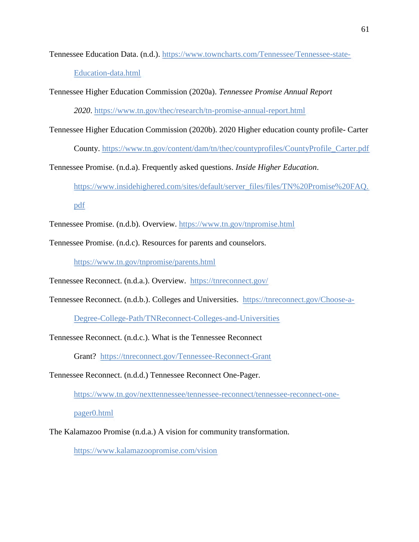Tennessee Education Data. (n.d.). [https://www.towncharts.com/Tennessee/Tennessee-state-](https://www.towncharts.com/Tennessee/Tennessee-state-Education-data.html)[Education-data.html](https://www.towncharts.com/Tennessee/Tennessee-state-Education-data.html)

Tennessee Higher Education Commission (2020a). *Tennessee Promise Annual Report* 

*2020*. <https://www.tn.gov/thec/research/tn-promise-annual-report.html>

Tennessee Higher Education Commission (2020b). 2020 Higher education county profile- Carter

County. [https://www.tn.gov/content/dam/tn/thec/countyprofiles/CountyProfile\\_Carter.pdf](https://www.tn.gov/content/dam/tn/thec/countyprofiles/CountyProfile_Carter.pdf)

Tennessee Promise. (n.d.a). Frequently asked questions. *Inside Higher Education*.

[https://www.insidehighered.com/sites/default/server\\_files/files/TN%20Promise%20FAQ.](https://www.insidehighered.com/sites/default/server_files/files/TN%20Promise%20FAQ.pdf) [pdf](https://www.insidehighered.com/sites/default/server_files/files/TN%20Promise%20FAQ.pdf)

Tennessee Promise. (n.d.b). Overview. <https://www.tn.gov/tnpromise.html>

Tennessee Promise. (n.d.c). Resources for parents and counselors.

<https://www.tn.gov/tnpromise/parents.html>

Tennessee Reconnect. (n.d.a.). Overview. <https://tnreconnect.gov/>

Tennessee Reconnect. (n.d.b.). Colleges and Universities. [https://tnreconnect.gov/Choose-a-](https://tnreconnect.gov/Choose-a-Degree-College-Path/TNReconnect-Colleges-and-Universities)

[Degree-College-Path/TNReconnect-Colleges-and-Universities](https://tnreconnect.gov/Choose-a-Degree-College-Path/TNReconnect-Colleges-and-Universities)

Tennessee Reconnect. (n.d.c.). What is the Tennessee Reconnect

Grant? <https://tnreconnect.gov/Tennessee-Reconnect-Grant>

Tennessee Reconnect. (n.d.d.) Tennessee Reconnect One-Pager.

[https://www.tn.gov/nexttennessee/tennessee-reconnect/tennessee-reconnect-one-](https://www.tn.gov/nexttennessee/tennessee-reconnect/tennessee-reconnect-one-pager0.html)

[pager0.html](https://www.tn.gov/nexttennessee/tennessee-reconnect/tennessee-reconnect-one-pager0.html)

The Kalamazoo Promise (n.d.a.) A vision for community transformation.

<https://www.kalamazoopromise.com/vision>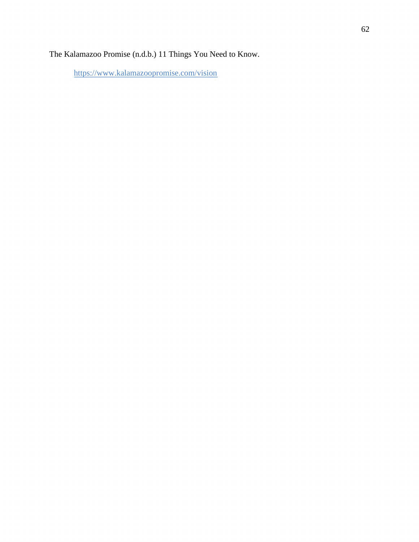The Kalamazoo Promise (n.d.b.) 11 Things You Need to Know.

<https://www.kalamazoopromise.com/vision>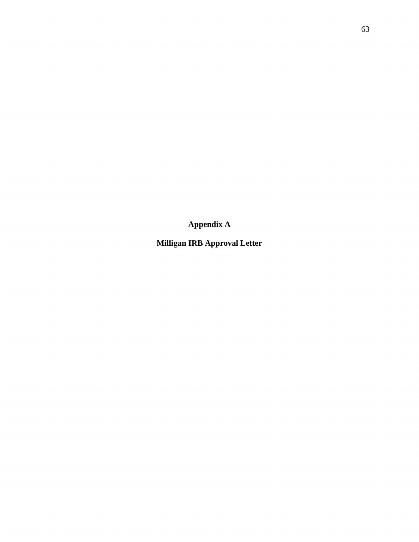**Appendix A**

**Milligan IRB Approval Letter**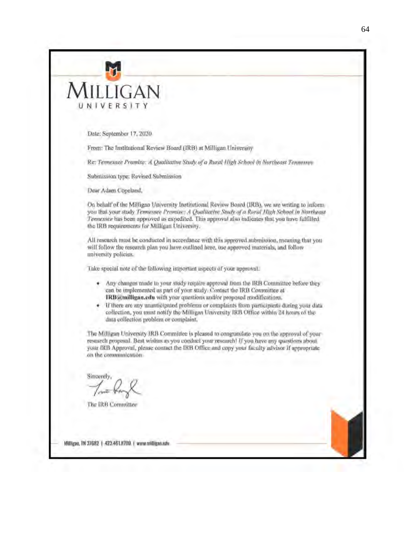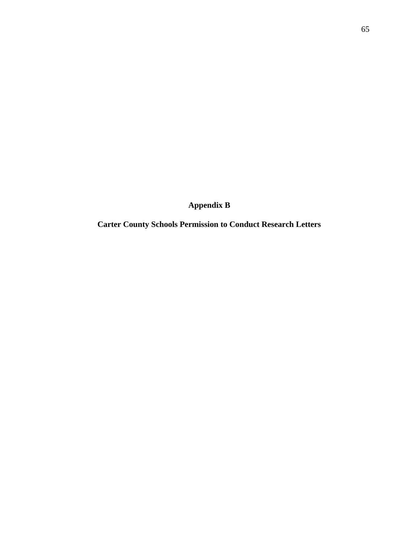**Appendix B**

**Carter County Schools Permission to Conduct Research Letters**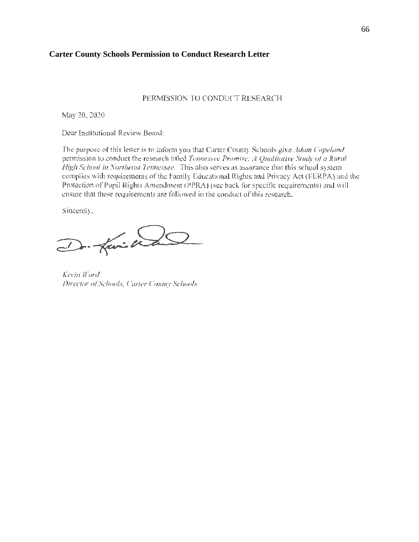#### **Carter County Schools Permission to Conduct Research Letter**

#### PERMISSION TO CONDUCT RESEARCH

May 20, 2020

Dear Institutional Review Board:

The purpose of this letter is to inform you 1hat Carter County Schools give *Adam Copeland*  permission to conduct the research titled *Tennessee Promise: A Qualitative Study of a Rural High School in Northeast Tennessee.* This also serves as assurance that this school system complies with requirements of the Family Educational Rights and Privacy Act (FERPA) and the Protection of Pupil Rights Amendment (PPRA) (sec back for specific requirements) and will ensure that these requirements are followed in the conduct of this research.

Sincerely.

D. fai Wa

*Kevin Ward Director of Schools. Cart(!r Co11nry Schools*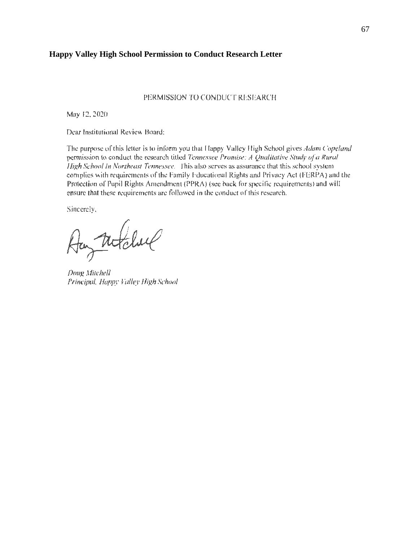#### **Happy Valley High School Permission to Conduct Research Letter**

#### PERMISSION TO CONDUCT RESEARCH

May 12, 2020

Dear Institutional Review Board:

The purpose of this letter is to inform you that Happy Valley High School gives *Adam Copeland* pennission to conduct the research titled *Tennessee Promise: A Qualitative Study of a Rural*  High School in Northeast Tennessee. This also serves as assurance that this school system complies with requirements of the Family Educational Rights and Privacy Act (FERPA) and the Protection of Pupil Rights Amendment (PPRA) (sec back for specific requirements) and will ensure that these requirements arc followed in the conduct of this research.

Sincerely,

Aug Notchil

*Doug Mitchell Principal, Happy Valley lfigh School*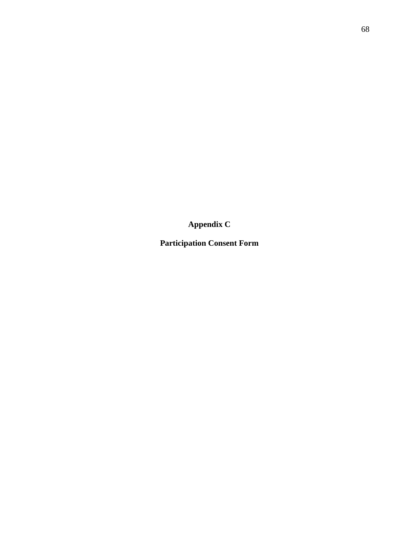**Appendix C**

**Participation Consent Form**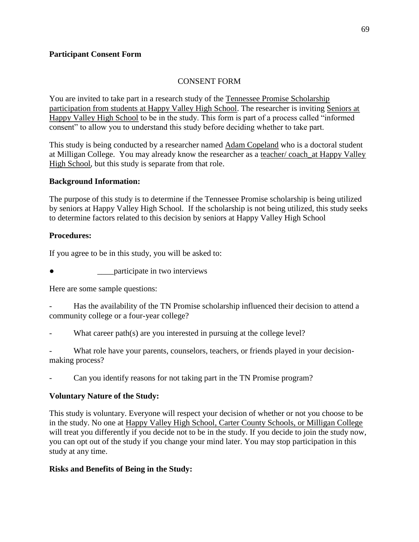### **Participant Consent Form**

### CONSENT FORM

You are invited to take part in a research study of the Tennessee Promise Scholarship participation from students at Happy Valley High School. The researcher is inviting Seniors at Happy Valley High School to be in the study. This form is part of a process called "informed consent" to allow you to understand this study before deciding whether to take part.

This study is being conducted by a researcher named Adam Copeland who is a doctoral student at Milligan College. You may already know the researcher as a teacher/ coach\_at Happy Valley High School, but this study is separate from that role.

#### **Background Information:**

The purpose of this study is to determine if the Tennessee Promise scholarship is being utilized by seniors at Happy Valley High School. If the scholarship is not being utilized, this study seeks to determine factors related to this decision by seniors at Happy Valley High School

#### **Procedures:**

If you agree to be in this study, you will be asked to:

**participate in two interviews** 

Here are some sample questions:

- Has the availability of the TN Promise scholarship influenced their decision to attend a community college or a four-year college?

What career path(s) are you interested in pursuing at the college level?

What role have your parents, counselors, teachers, or friends played in your decisionmaking process?

Can you identify reasons for not taking part in the TN Promise program?

### **Voluntary Nature of the Study:**

This study is voluntary. Everyone will respect your decision of whether or not you choose to be in the study. No one at Happy Valley High School, Carter County Schools, or Milligan College will treat you differently if you decide not to be in the study. If you decide to join the study now, you can opt out of the study if you change your mind later. You may stop participation in this study at any time.

### **Risks and Benefits of Being in the Study:**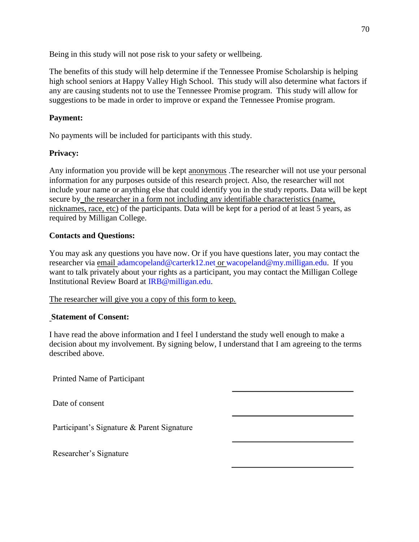Being in this study will not pose risk to your safety or wellbeing.

The benefits of this study will help determine if the Tennessee Promise Scholarship is helping high school seniors at Happy Valley High School. This study will also determine what factors if any are causing students not to use the Tennessee Promise program. This study will allow for suggestions to be made in order to improve or expand the Tennessee Promise program.

# **Payment:**

No payments will be included for participants with this study.

# **Privacy:**

Any information you provide will be kept anonymous .The researcher will not use your personal information for any purposes outside of this research project. Also, the researcher will not include your name or anything else that could identify you in the study reports. Data will be kept secure by\_the researcher in a form not including any identifiable characteristics (name, nicknames, race, etc) of the participants. Data will be kept for a period of at least 5 years, as required by Milligan College.

# **Contacts and Questions:**

You may ask any questions you have now. Or if you have questions later, you may contact the researcher via email adamcopeland@carterk12.net or wacopeland@my.milligan.edu. If you want to talk privately about your rights as a participant, you may contact the Milligan College Institutional Review Board at IRB@milligan.edu.

The researcher will give you a copy of this form to keep.

# **Statement of Consent:**

I have read the above information and I feel I understand the study well enough to make a decision about my involvement. By signing below, I understand that I am agreeing to the terms described above.

Printed Name of Participant

Date of consent

Participant's Signature & Parent Signature

Researcher's Signature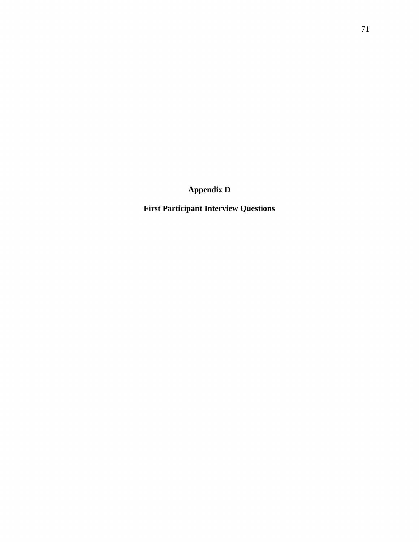**Appendix D**

**First Participant Interview Questions**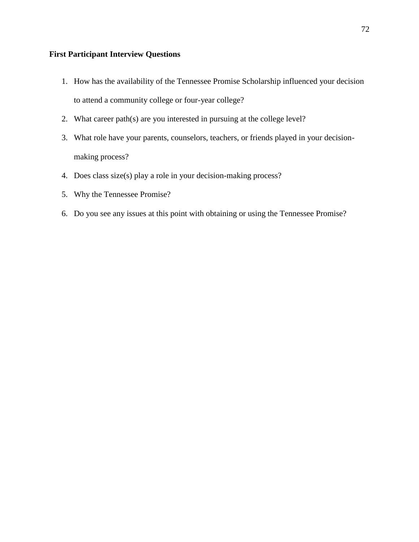# **First Participant Interview Questions**

- 1. How has the availability of the Tennessee Promise Scholarship influenced your decision to attend a community college or four-year college?
- 2. What career path(s) are you interested in pursuing at the college level?
- 3. What role have your parents, counselors, teachers, or friends played in your decisionmaking process?
- 4. Does class size(s) play a role in your decision-making process?
- 5. Why the Tennessee Promise?
- 6. Do you see any issues at this point with obtaining or using the Tennessee Promise?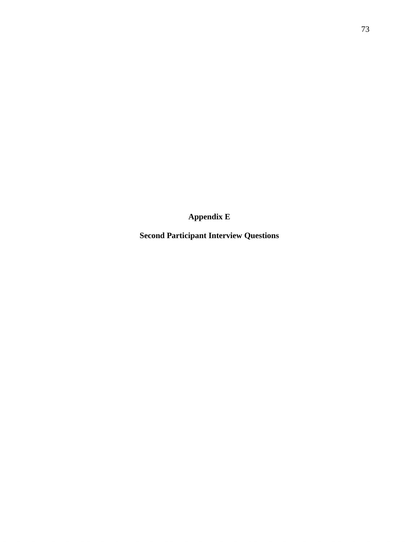**Appendix E**

**Second Participant Interview Questions**